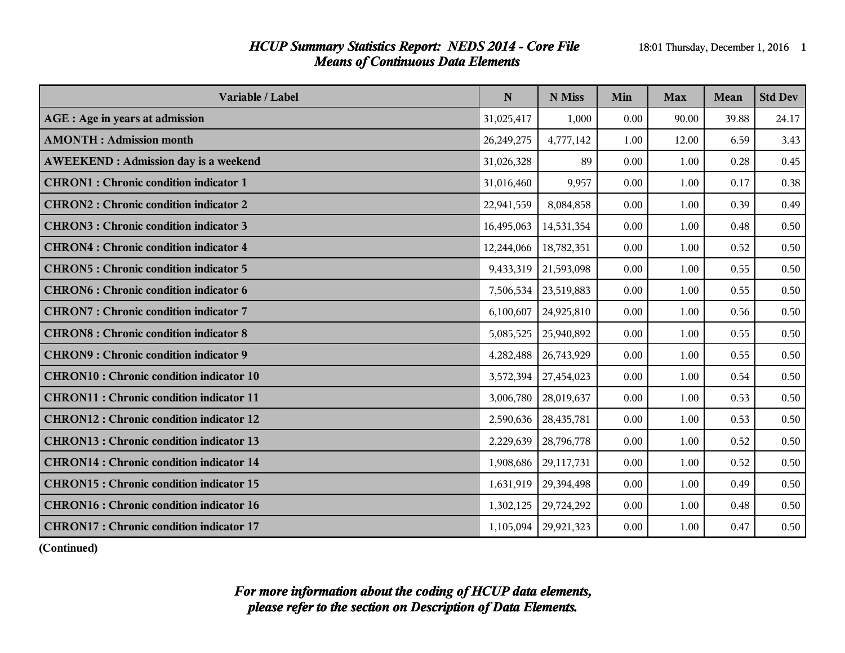### *HCUP Summary Statistics Report: NEDS 2014 - Core File* 18:01 Thursday, December 1, 2016 1 *Means of Continuous Data Elements*

| Variable / Label                                | N          | N Miss     | Min  | <b>Max</b> | Mean  | <b>Std Dev</b> |
|-------------------------------------------------|------------|------------|------|------------|-------|----------------|
| AGE : Age in years at admission                 | 31,025,417 | 1,000      | 0.00 | 90.00      | 39.88 | 24.17          |
| <b>AMONTH: Admission month</b>                  | 26,249,275 | 4,777,142  | 1.00 | 12.00      | 6.59  | 3.43           |
| <b>AWEEKEND: Admission day is a weekend</b>     | 31,026,328 | 89         | 0.00 | 1.00       | 0.28  | 0.45           |
| <b>CHRON1</b> : Chronic condition indicator 1   | 31,016,460 | 9,957      | 0.00 | 1.00       | 0.17  | 0.38           |
| <b>CHRON2: Chronic condition indicator 2</b>    | 22,941,559 | 8,084,858  | 0.00 | 1.00       | 0.39  | 0.49           |
| <b>CHRON3: Chronic condition indicator 3</b>    | 16,495,063 | 14,531,354 | 0.00 | 1.00       | 0.48  | 0.50           |
| <b>CHRON4</b> : Chronic condition indicator 4   | 12,244,066 | 18,782,351 | 0.00 | 1.00       | 0.52  | 0.50           |
| <b>CHRON5: Chronic condition indicator 5</b>    | 9,433,319  | 21,593,098 | 0.00 | 1.00       | 0.55  | 0.50           |
| <b>CHRON6: Chronic condition indicator 6</b>    | 7,506,534  | 23,519,883 | 0.00 | 1.00       | 0.55  | 0.50           |
| <b>CHRON7: Chronic condition indicator 7</b>    | 6,100,607  | 24,925,810 | 0.00 | 1.00       | 0.56  | 0.50           |
| <b>CHRON8</b> : Chronic condition indicator 8   | 5,085,525  | 25,940,892 | 0.00 | 1.00       | 0.55  | 0.50           |
| <b>CHRON9: Chronic condition indicator 9</b>    | 4,282,488  | 26,743,929 | 0.00 | 1.00       | 0.55  | 0.50           |
| <b>CHRON10: Chronic condition indicator 10</b>  | 3,572,394  | 27,454,023 | 0.00 | 1.00       | 0.54  | 0.50           |
| <b>CHRON11: Chronic condition indicator 11</b>  | 3,006,780  | 28,019,637 | 0.00 | 1.00       | 0.53  | 0.50           |
| <b>CHRON12: Chronic condition indicator 12</b>  | 2,590,636  | 28,435,781 | 0.00 | 1.00       | 0.53  | 0.50           |
| <b>CHRON13: Chronic condition indicator 13</b>  | 2,229,639  | 28,796,778 | 0.00 | 1.00       | 0.52  | 0.50           |
| <b>CHRON14 : Chronic condition indicator 14</b> | 1,908,686  | 29,117,731 | 0.00 | 1.00       | 0.52  | 0.50           |
| <b>CHRON15: Chronic condition indicator 15</b>  | 1,631,919  | 29,394,498 | 0.00 | 1.00       | 0.49  | 0.50           |
| <b>CHRON16 : Chronic condition indicator 16</b> | 1,302,125  | 29,724,292 | 0.00 | 1.00       | 0.48  | 0.50           |
| CHRON17 : Chronic condition indicator 17        | 1,105,094  | 29,921,323 | 0.00 | 1.00       | 0.47  | 0.50           |

**(Continued)**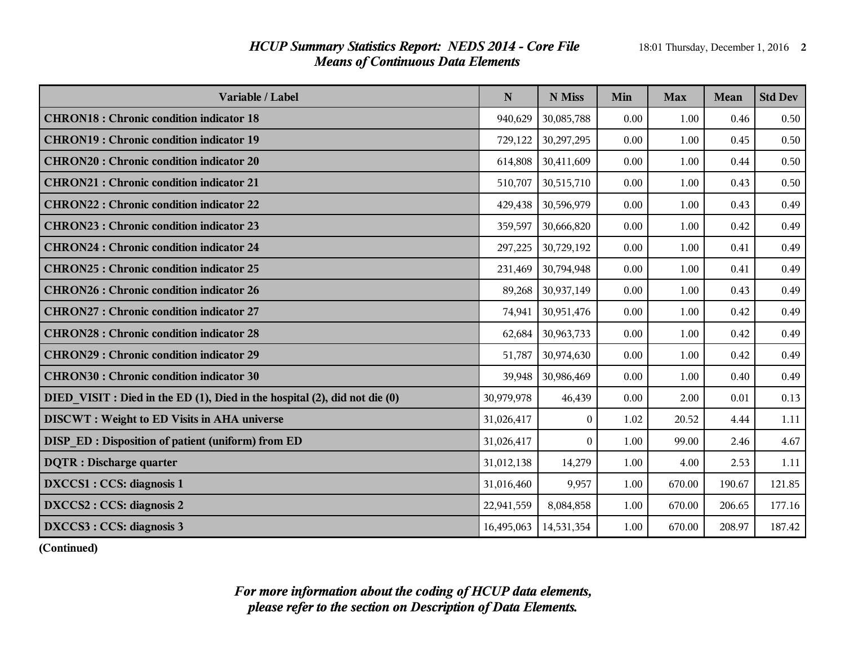# *HCUP Summary Statistics Report: NEDS 2014 - Core File* 18:01 Thursday, December 1, 2016 2 *Means of Continuous Data Elements*

| Variable / Label                                                           | N          | N Miss     | Min  | <b>Max</b> | Mean   | <b>Std Dev</b> |
|----------------------------------------------------------------------------|------------|------------|------|------------|--------|----------------|
| <b>CHRON18</b> : Chronic condition indicator 18                            | 940,629    | 30,085,788 | 0.00 | 1.00       | 0.46   | 0.50           |
| <b>CHRON19: Chronic condition indicator 19</b>                             | 729,122    | 30,297,295 | 0.00 | 1.00       | 0.45   | 0.50           |
| <b>CHRON20: Chronic condition indicator 20</b>                             | 614,808    | 30,411,609 | 0.00 | 1.00       | 0.44   | 0.50           |
| <b>CHRON21: Chronic condition indicator 21</b>                             | 510,707    | 30,515,710 | 0.00 | 1.00       | 0.43   | 0.50           |
| <b>CHRON22: Chronic condition indicator 22</b>                             | 429,438    | 30,596,979 | 0.00 | 1.00       | 0.43   | 0.49           |
| <b>CHRON23: Chronic condition indicator 23</b>                             | 359,597    | 30,666,820 | 0.00 | 1.00       | 0.42   | 0.49           |
| <b>CHRON24 : Chronic condition indicator 24</b>                            | 297,225    | 30,729,192 | 0.00 | 1.00       | 0.41   | 0.49           |
| <b>CHRON25 : Chronic condition indicator 25</b>                            | 231,469    | 30,794,948 | 0.00 | 1.00       | 0.41   | 0.49           |
| <b>CHRON26 : Chronic condition indicator 26</b>                            | 89,268     | 30,937,149 | 0.00 | 1.00       | 0.43   | 0.49           |
| <b>CHRON27: Chronic condition indicator 27</b>                             | 74,941     | 30,951,476 | 0.00 | 1.00       | 0.42   | 0.49           |
| <b>CHRON28: Chronic condition indicator 28</b>                             | 62,684     | 30,963,733 | 0.00 | 1.00       | 0.42   | 0.49           |
| <b>CHRON29: Chronic condition indicator 29</b>                             | 51,787     | 30,974,630 | 0.00 | 1.00       | 0.42   | 0.49           |
| <b>CHRON30: Chronic condition indicator 30</b>                             | 39,948     | 30,986,469 | 0.00 | 1.00       | 0.40   | 0.49           |
| DIED VISIT : Died in the ED (1), Died in the hospital (2), did not die (0) | 30,979,978 | 46,439     | 0.00 | 2.00       | 0.01   | 0.13           |
| <b>DISCWT</b> : Weight to ED Visits in AHA universe                        | 31,026,417 | $\theta$   | 1.02 | 20.52      | 4.44   | 1.11           |
| DISP ED: Disposition of patient (uniform) from ED                          | 31,026,417 | $\Omega$   | 1.00 | 99.00      | 2.46   | 4.67           |
| <b>DQTR</b> : Discharge quarter                                            | 31,012,138 | 14,279     | 1.00 | 4.00       | 2.53   | 1.11           |
| DXCCS1 : CCS: diagnosis 1                                                  | 31,016,460 | 9,957      | 1.00 | 670.00     | 190.67 | 121.85         |
| DXCCS2 : CCS: diagnosis 2                                                  | 22,941,559 | 8,084,858  | 1.00 | 670.00     | 206.65 | 177.16         |
| DXCCS3 : CCS: diagnosis 3                                                  | 16,495,063 | 14,531,354 | 1.00 | 670.00     | 208.97 | 187.42         |

**(Continued)**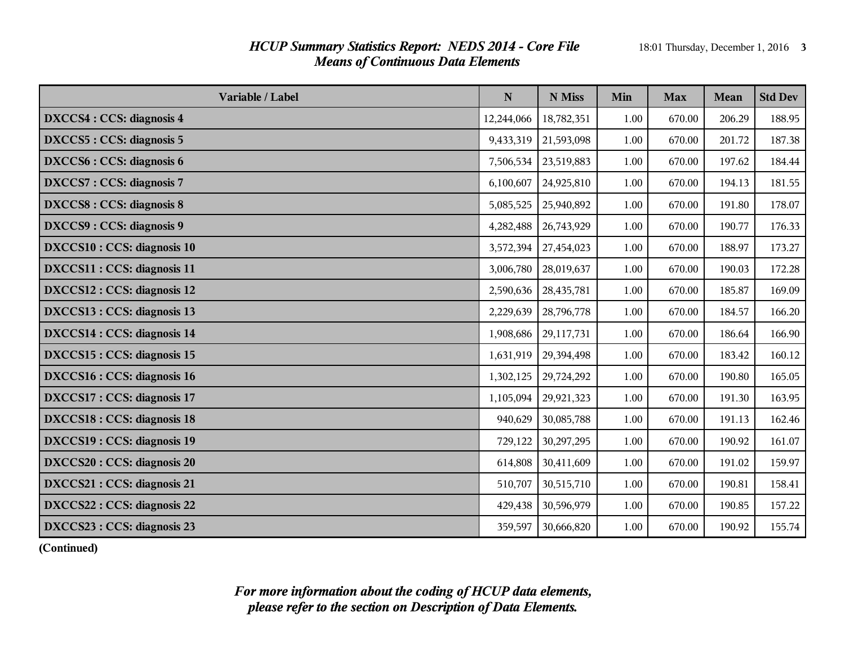# *HCUP Summary Statistics Report: NEDS 2014 - Core File* 18:01 Thursday, December 1, 2016 3 *Means of Continuous Data Elements*

| Variable / Label                | $\mathbf N$ | N Miss     | Min  | <b>Max</b> | Mean   | <b>Std Dev</b> |
|---------------------------------|-------------|------------|------|------------|--------|----------------|
| DXCCS4 : CCS: diagnosis 4       | 12,244,066  | 18,782,351 | 1.00 | 670.00     | 206.29 | 188.95         |
| DXCCS5 : CCS: diagnosis 5       | 9,433,319   | 21,593,098 | 1.00 | 670.00     | 201.72 | 187.38         |
| DXCCS6 : CCS: diagnosis 6       | 7,506,534   | 23,519,883 | 1.00 | 670.00     | 197.62 | 184.44         |
| <b>DXCCS7: CCS: diagnosis 7</b> | 6,100,607   | 24,925,810 | 1.00 | 670.00     | 194.13 | 181.55         |
| DXCCS8 : CCS: diagnosis 8       | 5,085,525   | 25,940,892 | 1.00 | 670.00     | 191.80 | 178.07         |
| DXCCS9 : CCS: diagnosis 9       | 4,282,488   | 26,743,929 | 1.00 | 670.00     | 190.77 | 176.33         |
| DXCCS10 : CCS: diagnosis 10     | 3,572,394   | 27,454,023 | 1.00 | 670.00     | 188.97 | 173.27         |
| DXCCS11 : CCS: diagnosis 11     | 3,006,780   | 28,019,637 | 1.00 | 670.00     | 190.03 | 172.28         |
| DXCCS12 : CCS: diagnosis 12     | 2,590,636   | 28,435,781 | 1.00 | 670.00     | 185.87 | 169.09         |
| DXCCS13 : CCS: diagnosis 13     | 2,229,639   | 28,796,778 | 1.00 | 670.00     | 184.57 | 166.20         |
| DXCCS14 : CCS: diagnosis 14     | 1,908,686   | 29,117,731 | 1.00 | 670.00     | 186.64 | 166.90         |
| DXCCS15 : CCS: diagnosis 15     | 1,631,919   | 29,394,498 | 1.00 | 670.00     | 183.42 | 160.12         |
| DXCCS16 : CCS: diagnosis 16     | 1,302,125   | 29,724,292 | 1.00 | 670.00     | 190.80 | 165.05         |
| DXCCS17 : CCS: diagnosis 17     | 1,105,094   | 29,921,323 | 1.00 | 670.00     | 191.30 | 163.95         |
| DXCCS18 : CCS: diagnosis 18     | 940,629     | 30,085,788 | 1.00 | 670.00     | 191.13 | 162.46         |
| DXCCS19 : CCS: diagnosis 19     | 729,122     | 30,297,295 | 1.00 | 670.00     | 190.92 | 161.07         |
| DXCCS20 : CCS: diagnosis 20     | 614,808     | 30,411,609 | 1.00 | 670.00     | 191.02 | 159.97         |
| DXCCS21 : CCS: diagnosis 21     | 510,707     | 30,515,710 | 1.00 | 670.00     | 190.81 | 158.41         |
| DXCCS22 : CCS: diagnosis 22     | 429,438     | 30,596,979 | 1.00 | 670.00     | 190.85 | 157.22         |
| DXCCS23 : CCS: diagnosis 23     | 359,597     | 30,666,820 | 1.00 | 670.00     | 190.92 | 155.74         |

**(Continued)**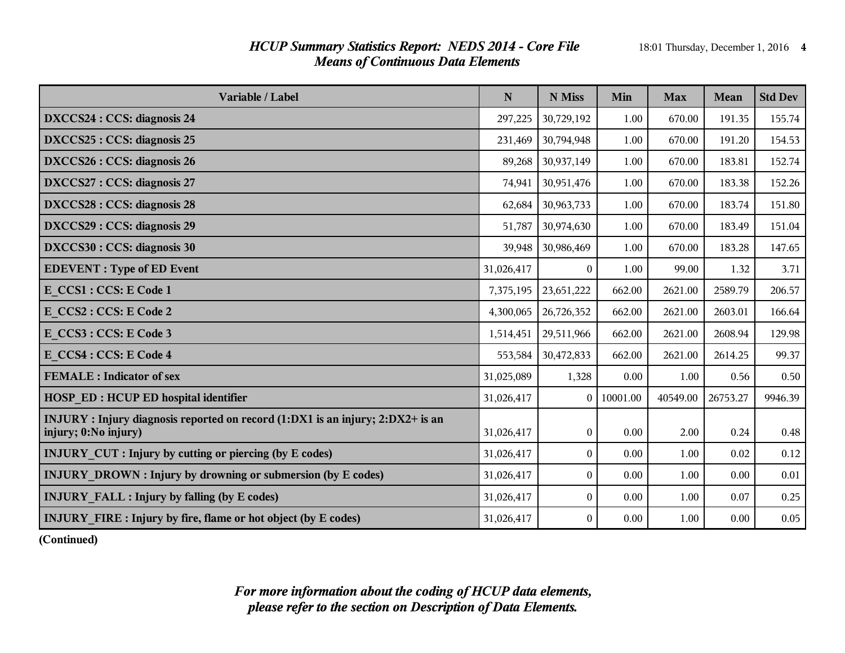# *HCUP Summary Statistics Report: NEDS 2014 - Core File* 18:01 Thursday, December 1, 2016 4 *Means of Continuous Data Elements*

| Variable / Label                                                                                       | $\mathbf N$ | N Miss           | Min      | <b>Max</b> | Mean     | <b>Std Dev</b> |
|--------------------------------------------------------------------------------------------------------|-------------|------------------|----------|------------|----------|----------------|
| DXCCS24 : CCS: diagnosis 24                                                                            | 297,225     | 30,729,192       | 1.00     | 670.00     | 191.35   | 155.74         |
| DXCCS25 : CCS: diagnosis 25                                                                            | 231,469     | 30,794,948       | 1.00     | 670.00     | 191.20   | 154.53         |
| DXCCS26 : CCS: diagnosis 26                                                                            | 89,268      | 30,937,149       | 1.00     | 670.00     | 183.81   | 152.74         |
| DXCCS27 : CCS: diagnosis 27                                                                            | 74,941      | 30,951,476       | 1.00     | 670.00     | 183.38   | 152.26         |
| DXCCS28 : CCS: diagnosis 28                                                                            | 62,684      | 30,963,733       | 1.00     | 670.00     | 183.74   | 151.80         |
| DXCCS29 : CCS: diagnosis 29                                                                            | 51,787      | 30,974,630       | 1.00     | 670.00     | 183.49   | 151.04         |
| DXCCS30 : CCS: diagnosis 30                                                                            | 39,948      | 30,986,469       | 1.00     | 670.00     | 183.28   | 147.65         |
| <b>EDEVENT</b> : Type of ED Event                                                                      | 31,026,417  | $\Omega$         | 1.00     | 99.00      | 1.32     | 3.71           |
| E CCS1 : CCS: E Code 1                                                                                 | 7,375,195   | 23,651,222       | 662.00   | 2621.00    | 2589.79  | 206.57         |
| E CCS2 : CCS: E Code 2                                                                                 | 4,300,065   | 26,726,352       | 662.00   | 2621.00    | 2603.01  | 166.64         |
| E CCS3 : CCS: E Code 3                                                                                 | 1,514,451   | 29,511,966       | 662.00   | 2621.00    | 2608.94  | 129.98         |
| E CCS4 : CCS: E Code 4                                                                                 | 553,584     | 30,472,833       | 662.00   | 2621.00    | 2614.25  | 99.37          |
| <b>FEMALE</b> : Indicator of sex                                                                       | 31,025,089  | 1,328            | 0.00     | 1.00       | 0.56     | 0.50           |
| <b>HOSP ED: HCUP ED hospital identifier</b>                                                            | 31,026,417  | $\theta$         | 10001.00 | 40549.00   | 26753.27 | 9946.39        |
| INJURY : Injury diagnosis reported on record (1:DX1 is an injury; 2:DX2+ is an<br>injury; 0:No injury) | 31,026,417  | $\boldsymbol{0}$ | 0.00     | 2.00       | 0.24     | 0.48           |
| <b>INJURY_CUT : Injury by cutting or piercing (by E codes)</b>                                         | 31,026,417  | $\boldsymbol{0}$ | 0.00     | 1.00       | 0.02     | 0.12           |
| <b>INJURY DROWN : Injury by drowning or submersion (by E codes)</b>                                    | 31,026,417  | $\theta$         | 0.00     | 1.00       | 0.00     | $0.01\,$       |
| <b>INJURY FALL : Injury by falling (by E codes)</b>                                                    | 31,026,417  | $\boldsymbol{0}$ | 0.00     | 1.00       | 0.07     | 0.25           |
| <b>INJURY FIRE: Injury by fire, flame or hot object (by E codes)</b>                                   | 31,026,417  | $\theta$         | 0.00     | 1.00       | 0.00     | 0.05           |

**(Continued)**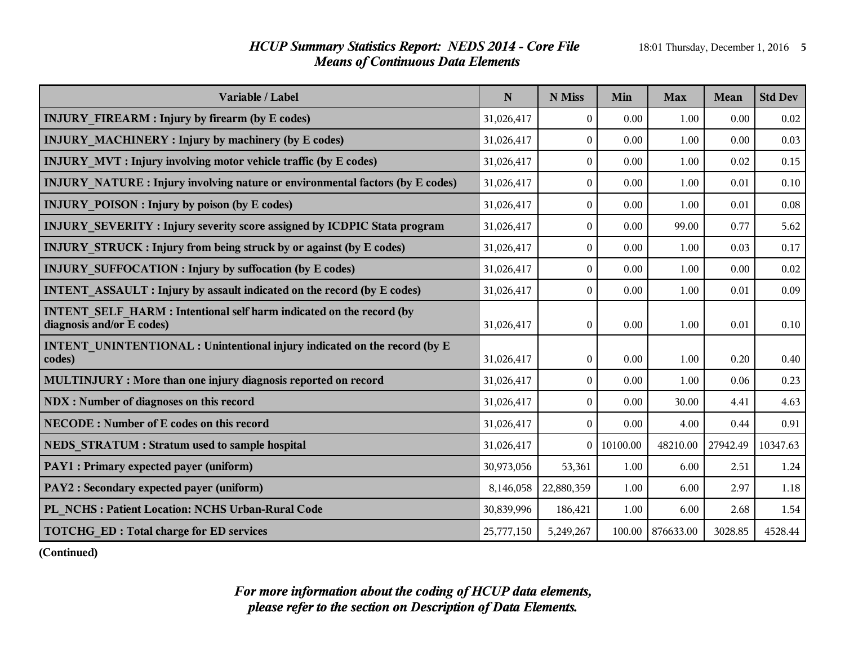# *HCUP Summary Statistics Report: NEDS 2014 - Core File* 18:01 Thursday, December 1, 2016 5 *Means of Continuous Data Elements*

| Variable / Label                                                                                        | $\mathbf N$ | N Miss           | Min      | <b>Max</b> | Mean     | <b>Std Dev</b> |
|---------------------------------------------------------------------------------------------------------|-------------|------------------|----------|------------|----------|----------------|
| <b>INJURY FIREARM : Injury by firearm (by E codes)</b>                                                  | 31,026,417  | $\boldsymbol{0}$ | 0.00     | 1.00       | 0.00     | 0.02           |
| <b>INJURY MACHINERY: Injury by machinery (by E codes)</b>                                               | 31,026,417  | $\boldsymbol{0}$ | 0.00     | 1.00       | 0.00     | 0.03           |
| <b>INJURY MVT: Injury involving motor vehicle traffic (by E codes)</b>                                  | 31,026,417  | $\boldsymbol{0}$ | 0.00     | 1.00       | 0.02     | 0.15           |
| <b>INJURY NATURE:</b> Injury involving nature or environmental factors (by E codes)                     | 31,026,417  | $\boldsymbol{0}$ | 0.00     | 1.00       | 0.01     | 0.10           |
| <b>INJURY POISON: Injury by poison (by E codes)</b>                                                     | 31,026,417  | $\boldsymbol{0}$ | 0.00     | 1.00       | 0.01     | 0.08           |
| INJURY_SEVERITY: Injury severity score assigned by ICDPIC Stata program                                 | 31,026,417  | $\theta$         | 0.00     | 99.00      | 0.77     | 5.62           |
| <b>INJURY STRUCK: Injury from being struck by or against (by E codes)</b>                               | 31,026,417  | $\boldsymbol{0}$ | 0.00     | 1.00       | 0.03     | 0.17           |
| <b>INJURY SUFFOCATION : Injury by suffocation (by E codes)</b>                                          | 31,026,417  | $\boldsymbol{0}$ | 0.00     | 1.00       | 0.00     | 0.02           |
| <b>INTENT ASSAULT: Injury by assault indicated on the record (by E codes)</b>                           | 31,026,417  | $\boldsymbol{0}$ | 0.00     | 1.00       | 0.01     | 0.09           |
| <b>INTENT SELF HARM: Intentional self harm indicated on the record (by</b><br>diagnosis and/or E codes) | 31,026,417  | $\theta$         | 0.00     | 1.00       | 0.01     | 0.10           |
| INTENT_UNINTENTIONAL: Unintentional injury indicated on the record (by E<br>codes)                      | 31,026,417  | $\boldsymbol{0}$ | 0.00     | 1.00       | 0.20     | 0.40           |
| MULTINJURY : More than one injury diagnosis reported on record                                          | 31,026,417  | $\boldsymbol{0}$ | 0.00     | 1.00       | 0.06     | 0.23           |
| NDX : Number of diagnoses on this record                                                                | 31,026,417  | $\boldsymbol{0}$ | 0.00     | 30.00      | 4.41     | 4.63           |
| NECODE: Number of E codes on this record                                                                | 31,026,417  | $\boldsymbol{0}$ | 0.00     | 4.00       | 0.44     | 0.91           |
| <b>NEDS STRATUM: Stratum used to sample hospital</b>                                                    | 31,026,417  | $\overline{0}$   | 10100.00 | 48210.00   | 27942.49 | 10347.63       |
| <b>PAY1</b> : Primary expected payer (uniform)                                                          | 30,973,056  | 53,361           | 1.00     | 6.00       | 2.51     | 1.24           |
| <b>PAY2</b> : Secondary expected payer (uniform)                                                        | 8,146,058   | 22,880,359       | 1.00     | 6.00       | 2.97     | 1.18           |
| PL NCHS: Patient Location: NCHS Urban-Rural Code                                                        | 30,839,996  | 186,421          | 1.00     | 6.00       | 2.68     | 1.54           |
| <b>TOTCHG ED: Total charge for ED services</b>                                                          | 25,777,150  | 5,249,267        | 100.00   | 876633.00  | 3028.85  | 4528.44        |

**(Continued)**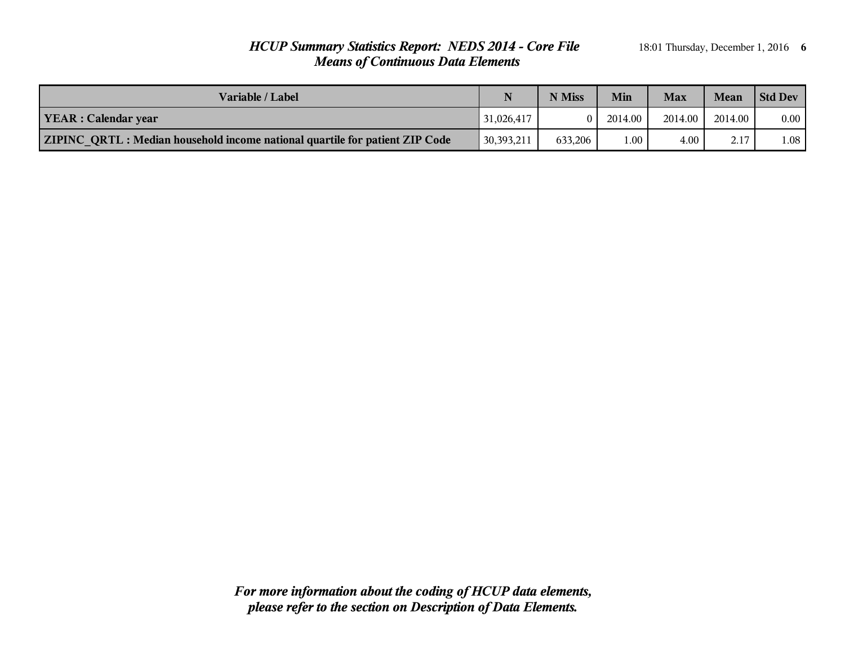# *HCUP Summary Statistics Report: NEDS 2014 - Core File* 18:01 Thursday, December 1, 2016 6 *Means of Continuous Data Elements*

| Variable / Label                                                                   | N          | N Miss   | Min     | <b>Max</b> | Mean    | <b>Std Dev</b> |
|------------------------------------------------------------------------------------|------------|----------|---------|------------|---------|----------------|
| <b>YEAR</b> : Calendar year                                                        | 31,026,417 | $\Omega$ | 2014.00 | 2014.00    | 2014.00 | $0.00\,$       |
| <b>ZIPINC QRTL: Median household income national quartile for patient ZIP Code</b> | 30,393,211 | 633.206  | 00.1    | $4.00\,$   | 2.17    | 0.1            |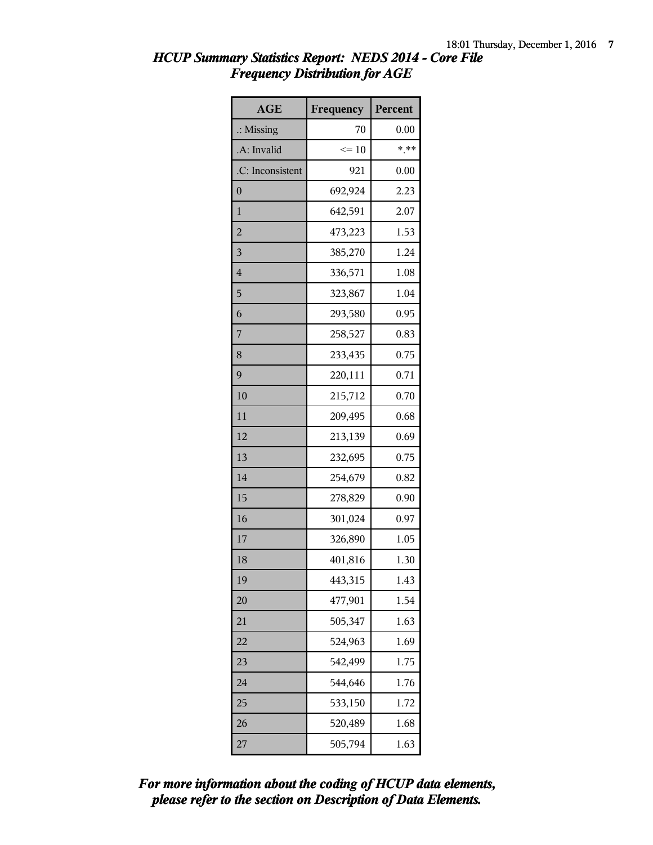| <b>AGE</b>           | Frequency | Percent |
|----------------------|-----------|---------|
| $\therefore$ Missing | 70        | 0.00    |
| .A: Invalid          | $\leq 10$ | $***$   |
| .C: Inconsistent     | 921       | 0.00    |
| $\overline{0}$       | 692,924   | 2.23    |
| $\mathbf{1}$         | 642,591   | 2.07    |
| $\overline{2}$       | 473,223   | 1.53    |
| $\overline{3}$       | 385,270   | 1.24    |
| $\overline{4}$       | 336,571   | 1.08    |
| 5                    | 323,867   | 1.04    |
| 6                    | 293,580   | 0.95    |
| 7                    | 258,527   | 0.83    |
| 8                    | 233,435   | 0.75    |
| 9                    | 220,111   | 0.71    |
| 10                   | 215,712   | 0.70    |
| 11                   | 209,495   | 0.68    |
| 12                   | 213,139   | 0.69    |
| 13                   | 232,695   | 0.75    |
| 14                   | 254,679   | 0.82    |
| 15                   | 278,829   | 0.90    |
| 16                   | 301,024   | 0.97    |
| 17                   | 326,890   | 1.05    |
| 18                   | 401,816   | 1.30    |
| 19                   | 443,315   | 1.43    |
| 20                   | 477,901   | 1.54    |
| 21                   | 505,347   | 1.63    |
| 22                   | 524,963   | 1.69    |
| 23                   | 542,499   | 1.75    |
| 24                   | 544,646   | 1.76    |
| 25                   | 533,150   | 1.72    |
| 26                   | 520,489   | 1.68    |
| 27                   | 505,794   | 1.63    |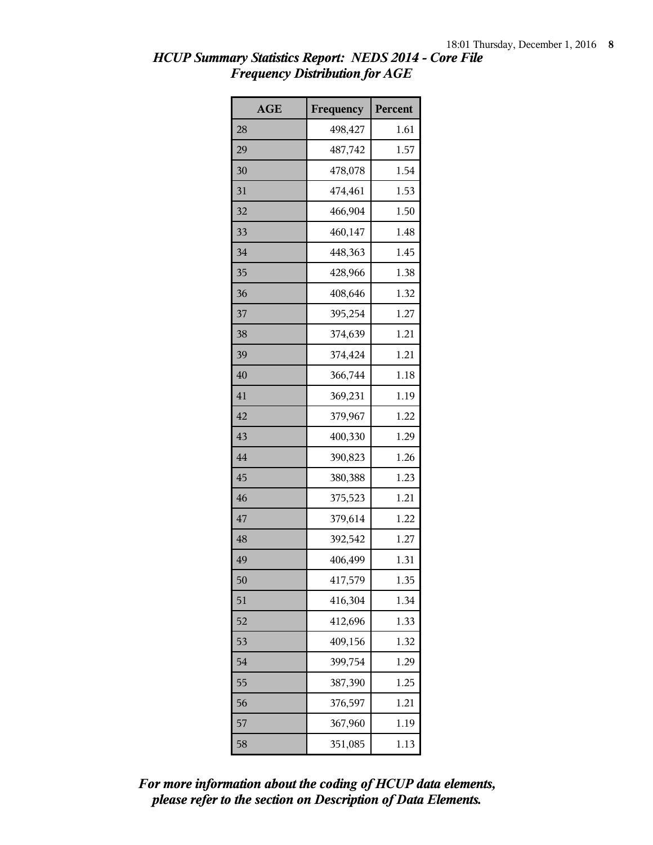| <b>AGE</b> | Frequency | Percent |
|------------|-----------|---------|
| 28         | 498,427   | 1.61    |
| 29         | 487,742   | 1.57    |
| 30         | 478,078   | 1.54    |
| 31         | 474,461   | 1.53    |
| 32         | 466,904   | 1.50    |
| 33         | 460,147   | 1.48    |
| 34         | 448,363   | 1.45    |
| 35         | 428,966   | 1.38    |
| 36         | 408,646   | 1.32    |
| 37         | 395,254   | 1.27    |
| 38         | 374,639   | 1.21    |
| 39         | 374,424   | 1.21    |
| 40         | 366,744   | 1.18    |
| 41         | 369,231   | 1.19    |
| 42         | 379,967   | 1.22    |
| 43         | 400,330   | 1.29    |
| 44         | 390,823   | 1.26    |
| 45         | 380,388   | 1.23    |
| 46         | 375,523   | 1.21    |
| 47         | 379,614   | 1.22    |
| 48         | 392,542   | 1.27    |
| 49         | 406,499   | 1.31    |
| 50         | 417,579   | 1.35    |
| 51         | 416,304   | 1.34    |
| 52         | 412,696   | 1.33    |
| 53         | 409,156   | 1.32    |
| 54         | 399,754   | 1.29    |
| 55         | 387,390   | 1.25    |
| 56         | 376,597   | 1.21    |
| 57         | 367,960   | 1.19    |
| 58         | 351,085   | 1.13    |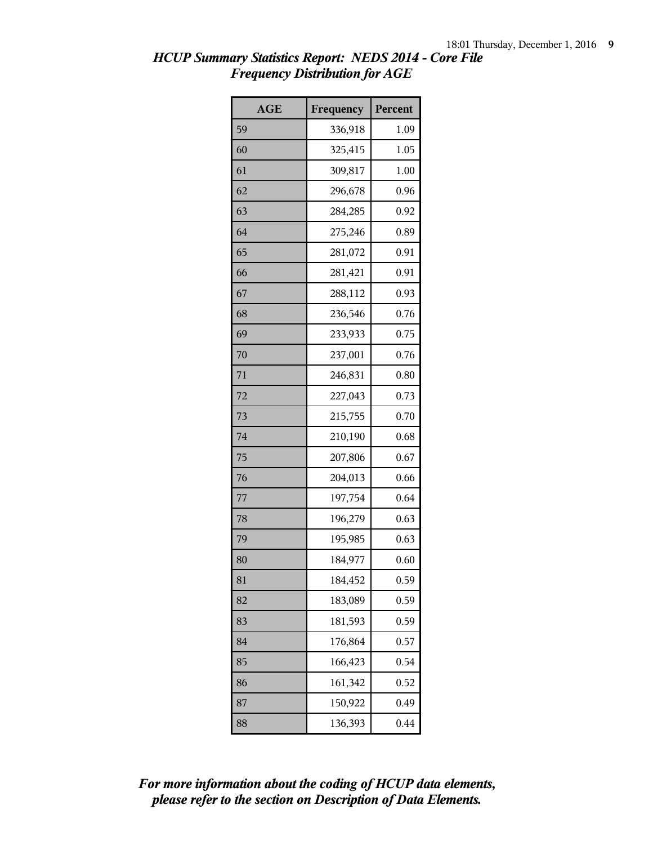| <b>AGE</b> | Frequency | Percent |
|------------|-----------|---------|
| 59         | 336,918   | 1.09    |
| 60         | 325,415   | 1.05    |
| 61         | 309,817   | 1.00    |
| 62         | 296,678   | 0.96    |
| 63         | 284,285   | 0.92    |
| 64         | 275,246   | 0.89    |
| 65         | 281,072   | 0.91    |
| 66         | 281,421   | 0.91    |
| 67         | 288,112   | 0.93    |
| 68         | 236,546   | 0.76    |
| 69         | 233,933   | 0.75    |
| 70         | 237,001   | 0.76    |
| 71         | 246,831   | 0.80    |
| 72         | 227,043   | 0.73    |
| 73         | 215,755   | 0.70    |
| 74         | 210,190   | 0.68    |
| 75         | 207,806   | 0.67    |
| 76         | 204,013   | 0.66    |
| 77         | 197,754   | 0.64    |
| 78         | 196,279   | 0.63    |
| 79         | 195,985   | 0.63    |
| 80         | 184,977   | 0.60    |
| 81         | 184,452   | 0.59    |
| 82         | 183,089   | 0.59    |
| 83         | 181,593   | 0.59    |
| 84         | 176,864   | 0.57    |
| 85         | 166,423   | 0.54    |
| 86         | 161,342   | 0.52    |
| 87         | 150,922   | 0.49    |
| 88         | 136,393   | 0.44    |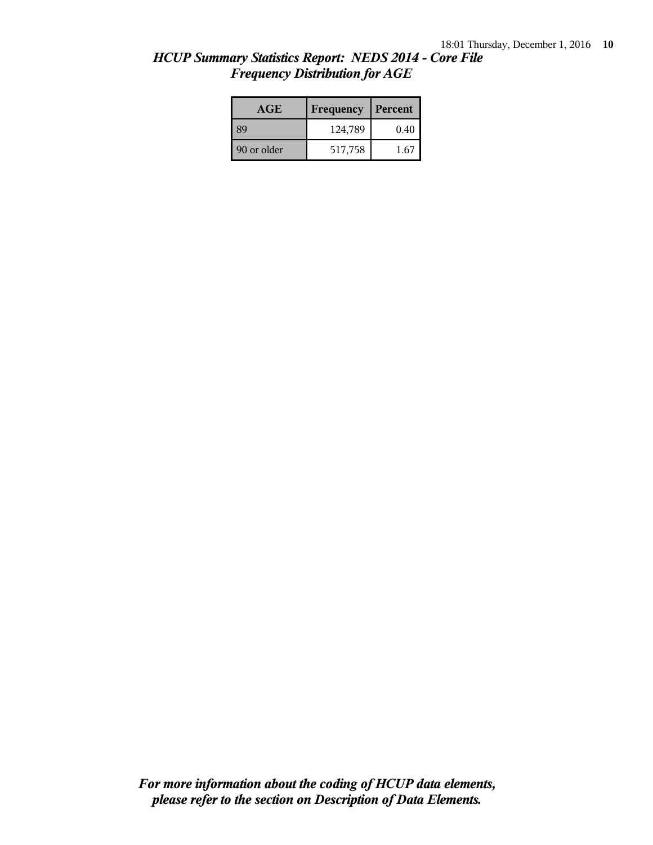| HCUP Summary Statistics Report: NEDS 2014 - Core File |  |
|-------------------------------------------------------|--|
| <b>Frequency Distribution for AGE</b>                 |  |

| <b>AGE</b>  | Frequency | Percent |
|-------------|-----------|---------|
| 39          | 124,789   | 0.40    |
| 90 or older | 517,758   | 1.67    |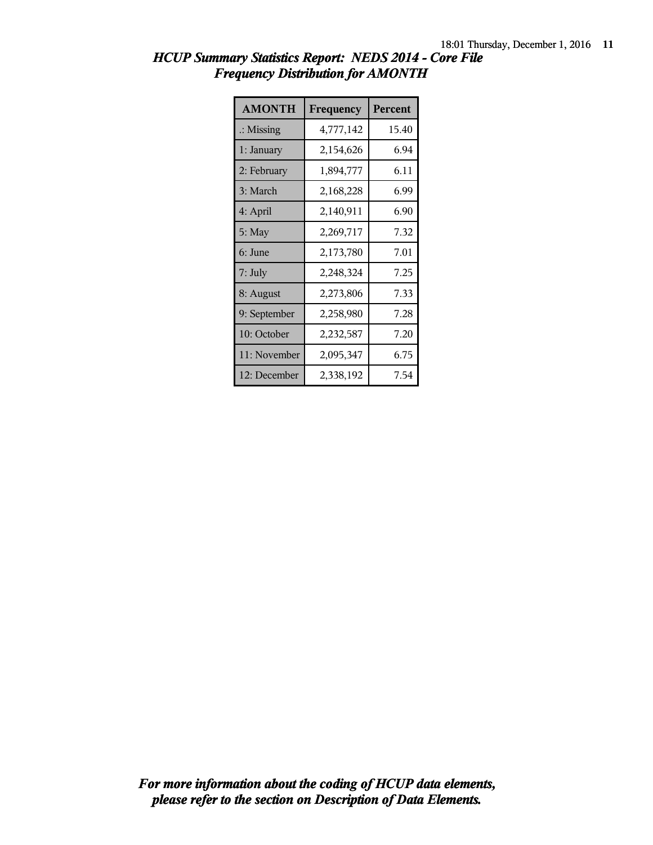| <b>AMONTH</b>        | Frequency | <b>Percent</b> |
|----------------------|-----------|----------------|
| $\therefore$ Missing | 4,777,142 | 15.40          |
| 1: January           | 2,154,626 | 6.94           |
| 2: February          | 1,894,777 | 6.11           |
| 3: March             | 2,168,228 | 6.99           |
| 4: April             | 2,140,911 | 6.90           |
| 5: May               | 2,269,717 | 7.32           |
| 6: June              | 2,173,780 | 7.01           |
| 7: July              | 2,248,324 | 7.25           |
| 8: August            | 2,273,806 | 7.33           |
| 9: September         | 2,258,980 | 7.28           |
| 10: October          | 2,232,587 | 7.20           |
| 11: November         | 2,095,347 | 6.75           |
| 12: December         | 2,338,192 | 7.54           |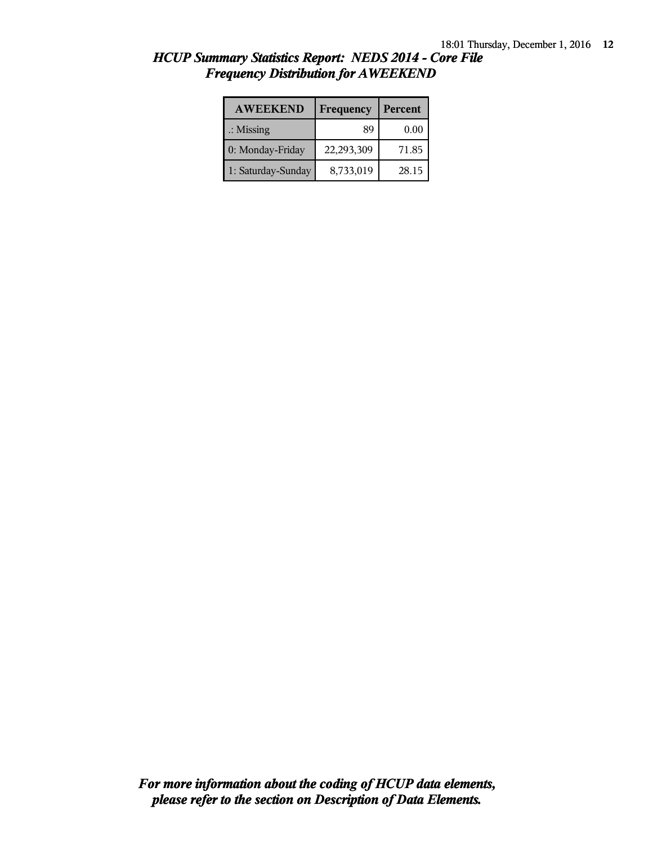| <b>AWEEKEND</b>      | Frequency  | Percent |
|----------------------|------------|---------|
| $\therefore$ Missing | 89         | 0.00    |
| 0: Monday-Friday     | 22,293,309 | 71.85   |
| 1: Saturday-Sunday   | 8,733,019  | 28.15   |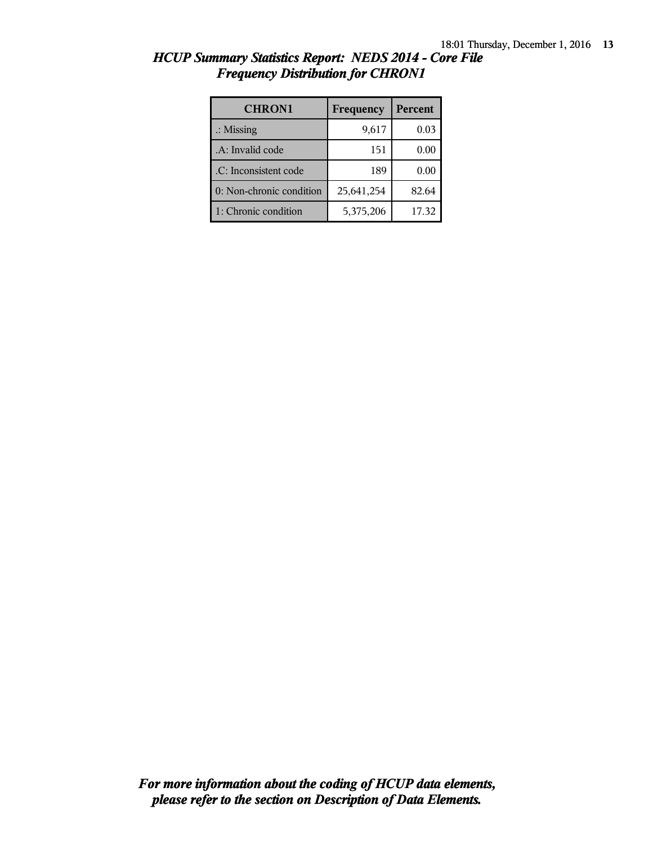| <b>CHRON1</b>            | Frequency  | Percent |
|--------------------------|------------|---------|
| $\therefore$ Missing     | 9,617      | 0.03    |
| .A: Invalid code         | 151        | 0.00    |
| .C: Inconsistent code    | 189        | 0.00    |
| 0: Non-chronic condition | 25,641,254 | 82.64   |
| 1: Chronic condition     | 5,375,206  | 17.32   |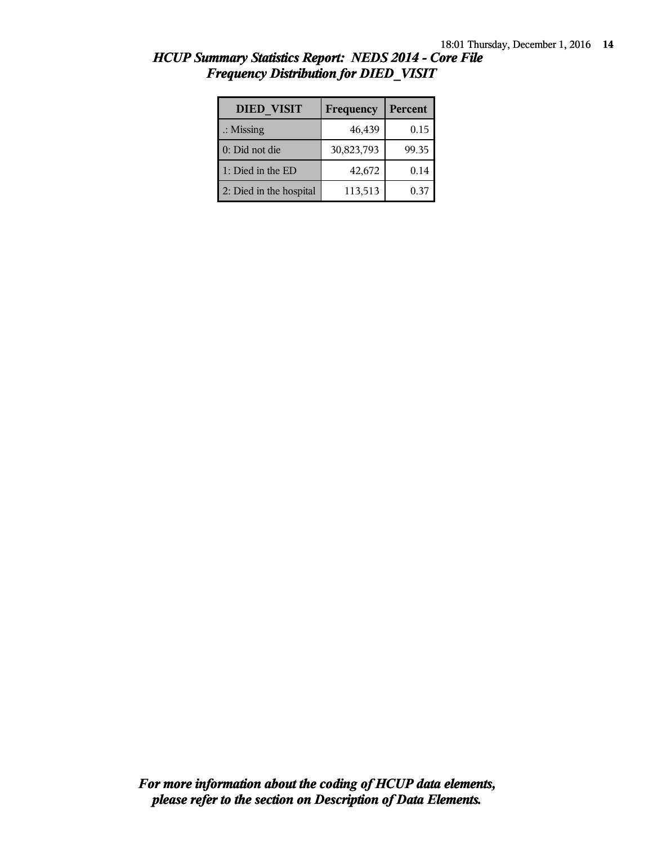| <b>DIED VISIT</b>       | Frequency  | <b>Percent</b> |
|-------------------------|------------|----------------|
| $\therefore$ Missing    | 46,439     | 0.15           |
| 0: Did not die          | 30,823,793 | 99.35          |
| 1: Died in the ED       | 42,672     | 0.14           |
| 2: Died in the hospital | 113,513    | 0.37           |

| HCUP Summary Statistics Report: NEDS 2014 - Core File |  |  |
|-------------------------------------------------------|--|--|
| <b>Frequency Distribution for DIED VISIT</b>          |  |  |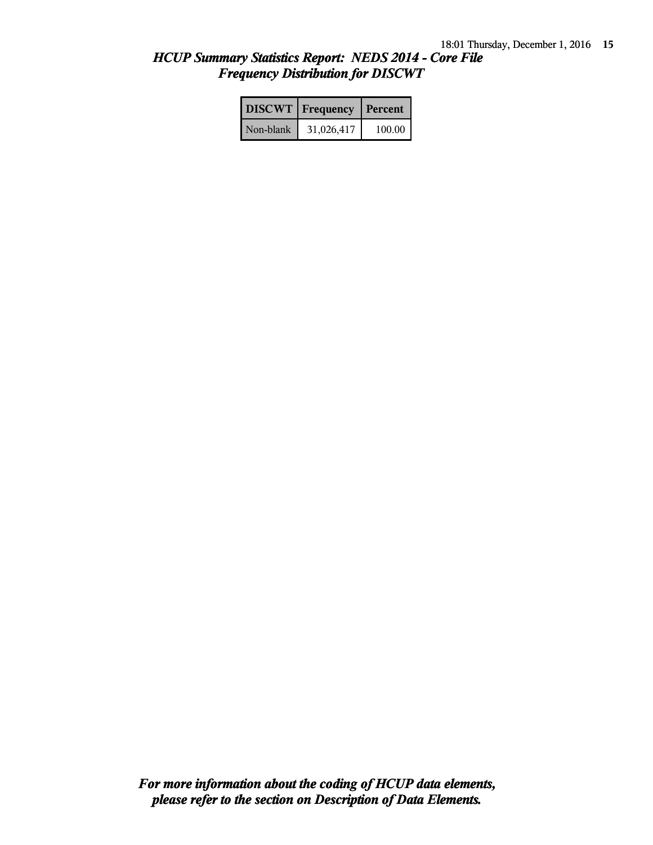|           | <b>DISCWT</b>   Frequency   Percent |        |
|-----------|-------------------------------------|--------|
| Non-blank | 31,026,417                          | 100.00 |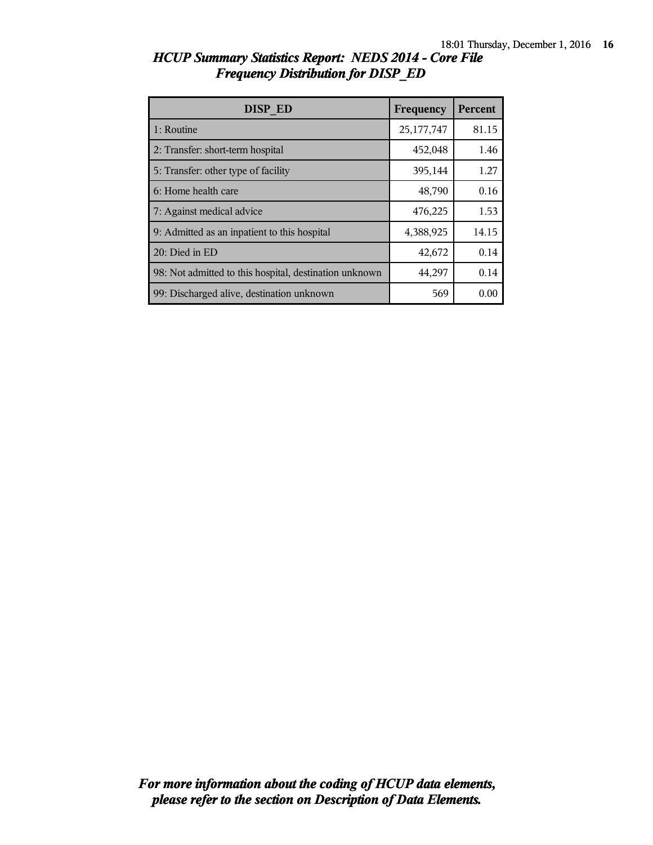| DISP ED                                                | Frequency  | Percent |
|--------------------------------------------------------|------------|---------|
| 1: Routine                                             | 25,177,747 | 81.15   |
| 2: Transfer: short-term hospital                       | 452,048    | 1.46    |
| 5: Transfer: other type of facility                    | 395,144    | 1.27    |
| 6: Home health care                                    | 48,790     | 0.16    |
| 7: Against medical advice                              | 476,225    | 1.53    |
| 9: Admitted as an inpatient to this hospital           | 4,388,925  | 14.15   |
| 20: Died in ED                                         | 42,672     | 0.14    |
| 98: Not admitted to this hospital, destination unknown | 44,297     | 0.14    |
| 99: Discharged alive, destination unknown              | 569        | 0.00    |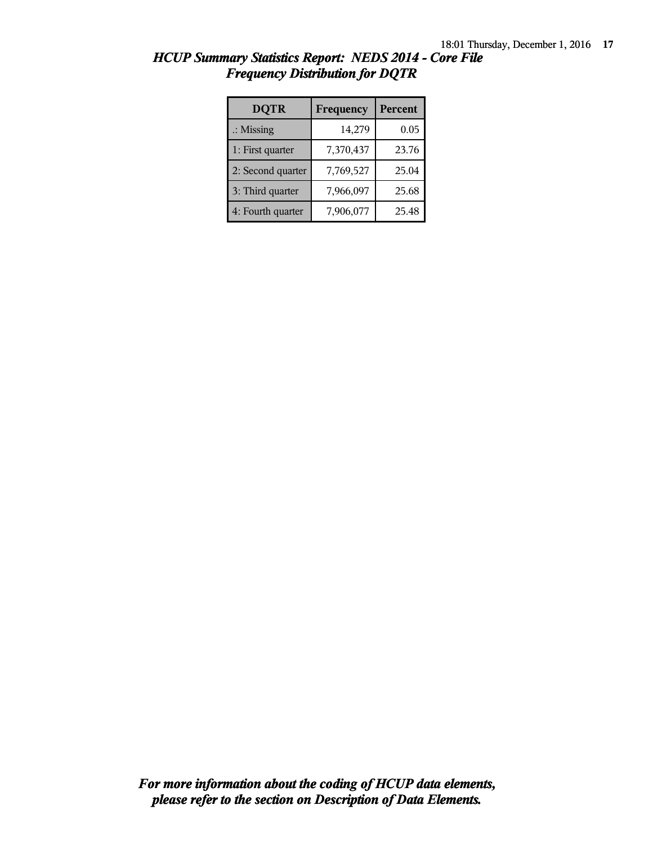| <b>DQTR</b>          | Frequency | Percent |
|----------------------|-----------|---------|
| $\therefore$ Missing | 14,279    | 0.05    |
| 1: First quarter     | 7,370,437 | 23.76   |
| 2: Second quarter    | 7,769,527 | 25.04   |
| 3: Third quarter     | 7,966,097 | 25.68   |
| 4: Fourth quarter    | 7,906,077 | 25.48   |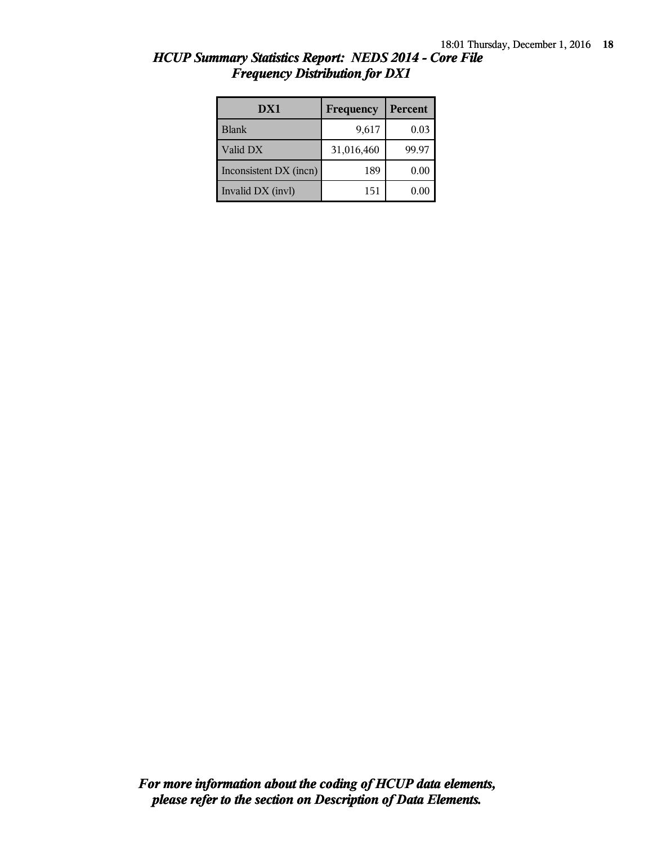| DX1                    | Frequency  | <b>Percent</b> |
|------------------------|------------|----------------|
| <b>Blank</b>           | 9,617      | 0.03           |
| Valid DX               | 31,016,460 | 99.97          |
| Inconsistent DX (incn) | 189        | 0.00           |
| Invalid DX (invl)      | 151        | 0.00           |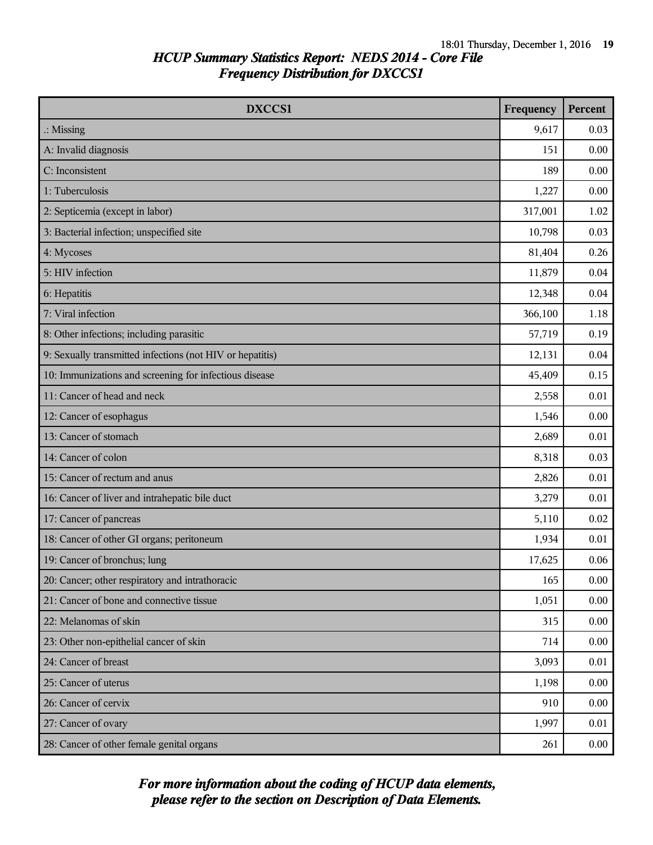| <b>DXCCS1</b>                                             | Frequency | Percent |
|-----------------------------------------------------------|-----------|---------|
| $\therefore$ Missing                                      | 9,617     | 0.03    |
| A: Invalid diagnosis                                      | 151       | 0.00    |
| C: Inconsistent                                           | 189       | 0.00    |
| 1: Tuberculosis                                           | 1,227     | 0.00    |
| 2: Septicemia (except in labor)                           | 317,001   | 1.02    |
| 3: Bacterial infection; unspecified site                  | 10,798    | 0.03    |
| 4: Mycoses                                                | 81,404    | 0.26    |
| 5: HIV infection                                          | 11,879    | 0.04    |
| 6: Hepatitis                                              | 12,348    | 0.04    |
| 7: Viral infection                                        | 366,100   | 1.18    |
| 8: Other infections; including parasitic                  | 57,719    | 0.19    |
| 9: Sexually transmitted infections (not HIV or hepatitis) | 12,131    | 0.04    |
| 10: Immunizations and screening for infectious disease    | 45,409    | 0.15    |
| 11: Cancer of head and neck                               | 2,558     | 0.01    |
| 12: Cancer of esophagus                                   | 1,546     | 0.00    |
| 13: Cancer of stomach                                     | 2,689     | 0.01    |
| 14: Cancer of colon                                       | 8,318     | 0.03    |
| 15: Cancer of rectum and anus                             | 2,826     | 0.01    |
| 16: Cancer of liver and intrahepatic bile duct            | 3,279     | 0.01    |
| 17: Cancer of pancreas                                    | 5,110     | 0.02    |
| 18: Cancer of other GI organs; peritoneum                 | 1,934     | 0.01    |
| 19: Cancer of bronchus; lung                              | 17,625    | 0.06    |
| 20: Cancer; other respiratory and intrathoracic           | 165       | 0.00    |
| 21: Cancer of bone and connective tissue                  | 1,051     | 0.00    |
| 22: Melanomas of skin                                     | 315       | 0.00    |
| 23: Other non-epithelial cancer of skin                   | 714       | 0.00    |
| 24: Cancer of breast                                      | 3,093     | 0.01    |
| 25: Cancer of uterus                                      | 1,198     | 0.00    |
| 26: Cancer of cervix                                      | 910       | 0.00    |
| 27: Cancer of ovary                                       | 1,997     | 0.01    |
| 28: Cancer of other female genital organs                 | 261       | 0.00    |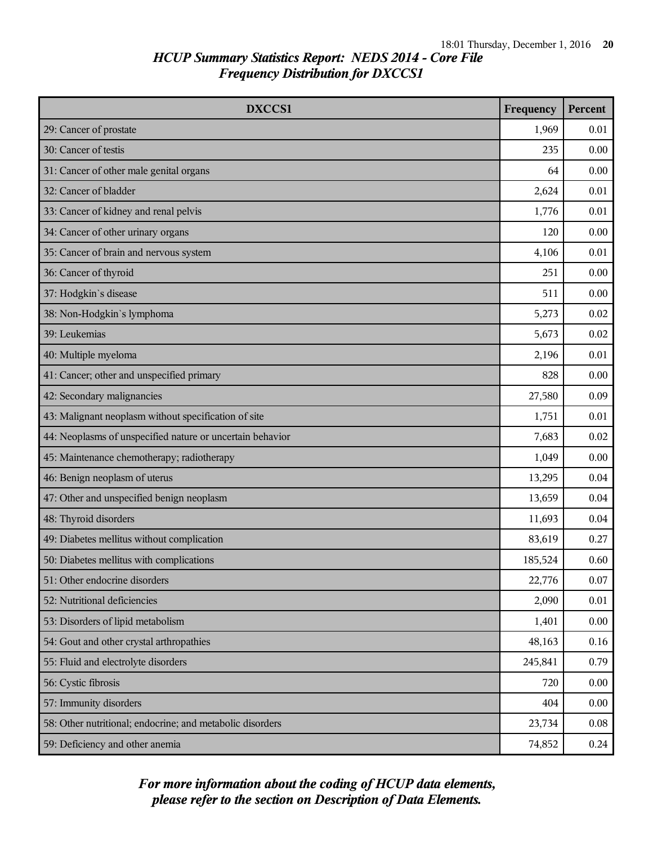| DXCCS1                                                    | Frequency | <b>Percent</b> |
|-----------------------------------------------------------|-----------|----------------|
| 29: Cancer of prostate                                    | 1,969     | 0.01           |
| 30: Cancer of testis                                      | 235       | 0.00           |
| 31: Cancer of other male genital organs                   | 64        | 0.00           |
| 32: Cancer of bladder                                     | 2,624     | 0.01           |
| 33: Cancer of kidney and renal pelvis                     | 1,776     | 0.01           |
| 34: Cancer of other urinary organs                        | 120       | 0.00           |
| 35: Cancer of brain and nervous system                    | 4,106     | 0.01           |
| 36: Cancer of thyroid                                     | 251       | 0.00           |
| 37: Hodgkin's disease                                     | 511       | 0.00           |
| 38: Non-Hodgkin's lymphoma                                | 5,273     | 0.02           |
| 39: Leukemias                                             | 5,673     | 0.02           |
| 40: Multiple myeloma                                      | 2,196     | 0.01           |
| 41: Cancer; other and unspecified primary                 | 828       | 0.00           |
| 42: Secondary malignancies                                | 27,580    | 0.09           |
| 43: Malignant neoplasm without specification of site      | 1,751     | 0.01           |
| 44: Neoplasms of unspecified nature or uncertain behavior | 7,683     | 0.02           |
| 45: Maintenance chemotherapy; radiotherapy                | 1,049     | 0.00           |
| 46: Benign neoplasm of uterus                             | 13,295    | 0.04           |
| 47: Other and unspecified benign neoplasm                 | 13,659    | 0.04           |
| 48: Thyroid disorders                                     | 11,693    | 0.04           |
| 49: Diabetes mellitus without complication                | 83,619    | 0.27           |
| 50: Diabetes mellitus with complications                  | 185,524   | 0.60           |
| 51: Other endocrine disorders                             | 22,776    | 0.07           |
| 52: Nutritional deficiencies                              | 2,090     | 0.01           |
| 53: Disorders of lipid metabolism                         | 1,401     | 0.00           |
| 54: Gout and other crystal arthropathies                  | 48,163    | 0.16           |
| 55: Fluid and electrolyte disorders                       | 245,841   | 0.79           |
| 56: Cystic fibrosis                                       | 720       | 0.00           |
| 57: Immunity disorders                                    | 404       | 0.00           |
| 58: Other nutritional; endocrine; and metabolic disorders | 23,734    | 0.08           |
| 59: Deficiency and other anemia                           | 74,852    | 0.24           |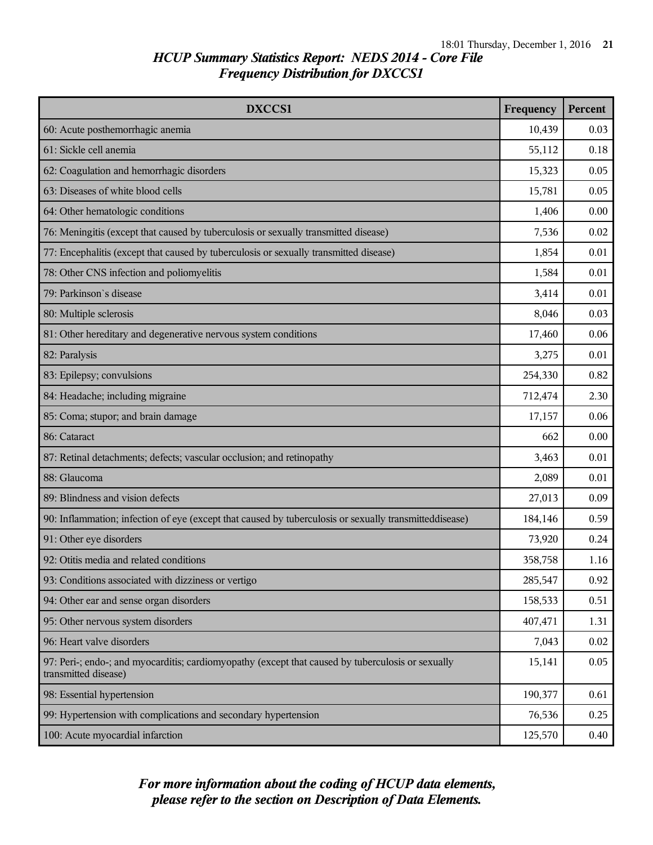| DXCCS1                                                                                                                    | Frequency | Percent |
|---------------------------------------------------------------------------------------------------------------------------|-----------|---------|
| 60: Acute posthemorrhagic anemia                                                                                          | 10,439    | 0.03    |
| 61: Sickle cell anemia                                                                                                    | 55,112    | 0.18    |
| 62: Coagulation and hemorrhagic disorders                                                                                 | 15,323    | 0.05    |
| 63: Diseases of white blood cells                                                                                         | 15,781    | 0.05    |
| 64: Other hematologic conditions                                                                                          | 1,406     | 0.00    |
| 76: Meningitis (except that caused by tuberculosis or sexually transmitted disease)                                       | 7,536     | 0.02    |
| 77: Encephalitis (except that caused by tuberculosis or sexually transmitted disease)                                     | 1,854     | 0.01    |
| 78: Other CNS infection and poliomyelitis                                                                                 | 1,584     | 0.01    |
| 79: Parkinson's disease                                                                                                   | 3,414     | 0.01    |
| 80: Multiple sclerosis                                                                                                    | 8,046     | 0.03    |
| 81: Other hereditary and degenerative nervous system conditions                                                           | 17,460    | 0.06    |
| 82: Paralysis                                                                                                             | 3,275     | 0.01    |
| 83: Epilepsy; convulsions                                                                                                 | 254,330   | 0.82    |
| 84: Headache; including migraine                                                                                          | 712,474   | 2.30    |
| 85: Coma; stupor; and brain damage                                                                                        | 17,157    | 0.06    |
| 86: Cataract                                                                                                              | 662       | 0.00    |
| 87: Retinal detachments; defects; vascular occlusion; and retinopathy                                                     | 3,463     | 0.01    |
| 88: Glaucoma                                                                                                              | 2,089     | 0.01    |
| 89: Blindness and vision defects                                                                                          | 27,013    | 0.09    |
| 90: Inflammation; infection of eye (except that caused by tuberculosis or sexually transmitteddisease)                    | 184,146   | 0.59    |
| 91: Other eye disorders                                                                                                   | 73,920    | 0.24    |
| 92: Otitis media and related conditions                                                                                   | 358,758   | 1.16    |
| 93: Conditions associated with dizziness or vertigo                                                                       | 285,547   | 0.92    |
| 94: Other ear and sense organ disorders                                                                                   | 158,533   | 0.51    |
| 95: Other nervous system disorders                                                                                        | 407,471   | 1.31    |
| 96: Heart valve disorders                                                                                                 | 7,043     | 0.02    |
| 97: Peri-; endo-; and myocarditis; cardiomyopathy (except that caused by tuberculosis or sexually<br>transmitted disease) | 15,141    | 0.05    |
| 98: Essential hypertension                                                                                                | 190,377   | 0.61    |
| 99: Hypertension with complications and secondary hypertension                                                            | 76,536    | 0.25    |
| 100: Acute myocardial infarction                                                                                          | 125,570   | 0.40    |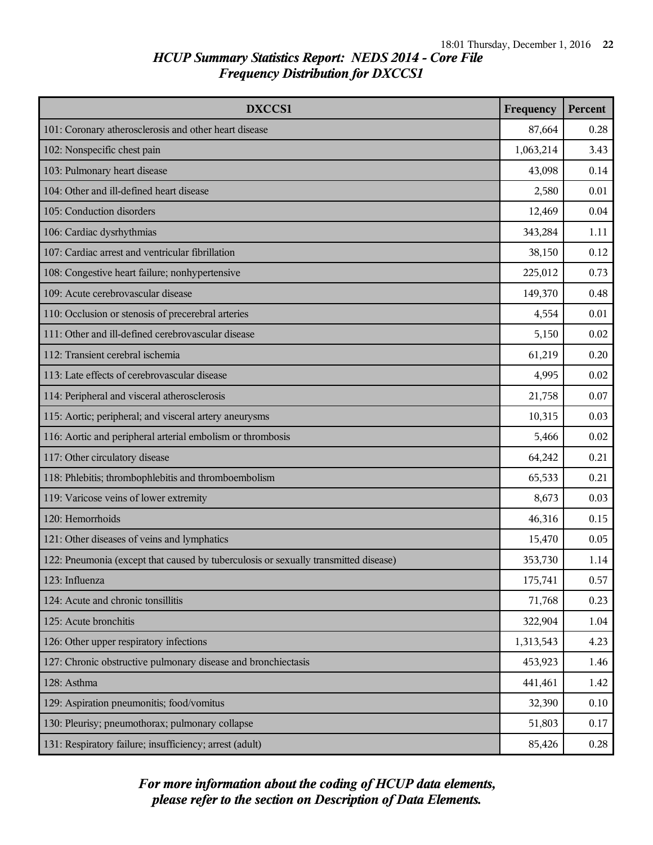| DXCCS1                                                                              | Frequency | <b>Percent</b> |
|-------------------------------------------------------------------------------------|-----------|----------------|
| 101: Coronary atherosclerosis and other heart disease                               | 87,664    | 0.28           |
| 102: Nonspecific chest pain                                                         | 1,063,214 | 3.43           |
| 103: Pulmonary heart disease                                                        | 43,098    | 0.14           |
| 104: Other and ill-defined heart disease                                            | 2,580     | 0.01           |
| 105: Conduction disorders                                                           | 12,469    | 0.04           |
| 106: Cardiac dysrhythmias                                                           | 343,284   | 1.11           |
| 107: Cardiac arrest and ventricular fibrillation                                    | 38,150    | 0.12           |
| 108: Congestive heart failure; nonhypertensive                                      | 225,012   | 0.73           |
| 109: Acute cerebrovascular disease                                                  | 149,370   | 0.48           |
| 110: Occlusion or stenosis of precerebral arteries                                  | 4,554     | 0.01           |
| 111: Other and ill-defined cerebrovascular disease                                  | 5,150     | 0.02           |
| 112: Transient cerebral ischemia                                                    | 61,219    | 0.20           |
| 113: Late effects of cerebrovascular disease                                        | 4,995     | 0.02           |
| 114: Peripheral and visceral atherosclerosis                                        | 21,758    | 0.07           |
| 115: Aortic; peripheral; and visceral artery aneurysms                              | 10,315    | 0.03           |
| 116: Aortic and peripheral arterial embolism or thrombosis                          | 5,466     | 0.02           |
| 117: Other circulatory disease                                                      | 64,242    | 0.21           |
| 118: Phlebitis; thrombophlebitis and thromboembolism                                | 65,533    | 0.21           |
| 119: Varicose veins of lower extremity                                              | 8,673     | 0.03           |
| 120: Hemorrhoids                                                                    | 46,316    | 0.15           |
| 121: Other diseases of veins and lymphatics                                         | 15,470    | 0.05           |
| 122: Pneumonia (except that caused by tuberculosis or sexually transmitted disease) | 353,730   | 1.14           |
| 123: Influenza                                                                      | 175,741   | 0.57           |
| 124: Acute and chronic tonsillitis                                                  | 71,768    | 0.23           |
| 125: Acute bronchitis                                                               | 322,904   | 1.04           |
| 126: Other upper respiratory infections                                             | 1,313,543 | 4.23           |
| 127: Chronic obstructive pulmonary disease and bronchiectasis                       | 453,923   | 1.46           |
| 128: Asthma                                                                         | 441,461   | 1.42           |
| 129: Aspiration pneumonitis; food/vomitus                                           | 32,390    | 0.10           |
| 130: Pleurisy; pneumothorax; pulmonary collapse                                     | 51,803    | 0.17           |
| 131: Respiratory failure; insufficiency; arrest (adult)                             | 85,426    | 0.28           |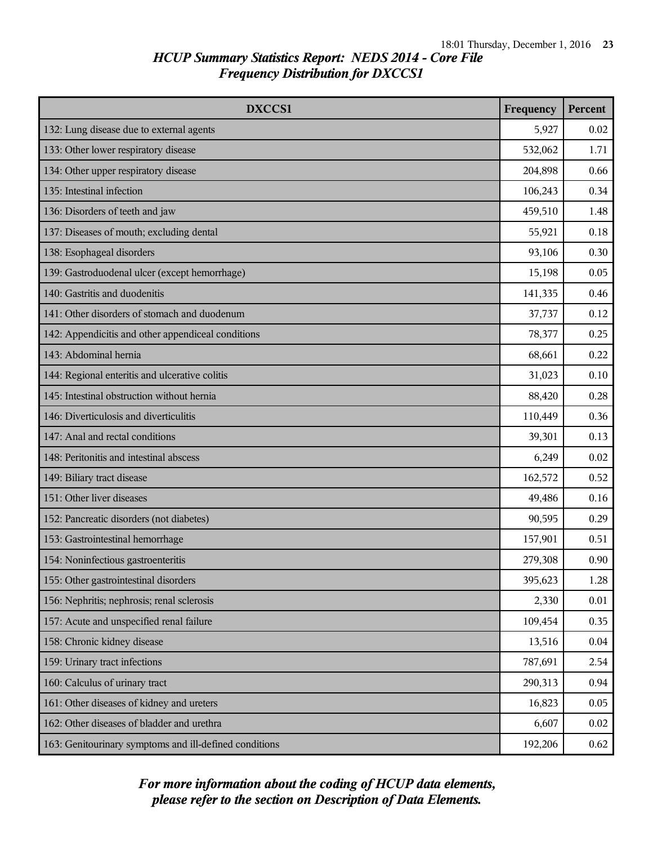| DXCCS1                                                 | Frequency | Percent |
|--------------------------------------------------------|-----------|---------|
| 132: Lung disease due to external agents               | 5,927     | 0.02    |
| 133: Other lower respiratory disease                   | 532,062   | 1.71    |
| 134: Other upper respiratory disease                   | 204,898   | 0.66    |
| 135: Intestinal infection                              | 106,243   | 0.34    |
| 136: Disorders of teeth and jaw                        | 459,510   | 1.48    |
| 137: Diseases of mouth; excluding dental               | 55,921    | 0.18    |
| 138: Esophageal disorders                              | 93,106    | 0.30    |
| 139: Gastroduodenal ulcer (except hemorrhage)          | 15,198    | 0.05    |
| 140: Gastritis and duodenitis                          | 141,335   | 0.46    |
| 141: Other disorders of stomach and duodenum           | 37,737    | 0.12    |
| 142: Appendicitis and other appendiceal conditions     | 78,377    | 0.25    |
| 143: Abdominal hernia                                  | 68,661    | 0.22    |
| 144: Regional enteritis and ulcerative colitis         | 31,023    | 0.10    |
| 145: Intestinal obstruction without hernia             | 88,420    | 0.28    |
| 146: Diverticulosis and diverticulitis                 | 110,449   | 0.36    |
| 147: Anal and rectal conditions                        | 39,301    | 0.13    |
| 148: Peritonitis and intestinal abscess                | 6,249     | 0.02    |
| 149: Biliary tract disease                             | 162,572   | 0.52    |
| 151: Other liver diseases                              | 49,486    | 0.16    |
| 152: Pancreatic disorders (not diabetes)               | 90,595    | 0.29    |
| 153: Gastrointestinal hemorrhage                       | 157,901   | 0.51    |
| 154: Noninfectious gastroenteritis                     | 279,308   | 0.90    |
| 155: Other gastrointestinal disorders                  | 395,623   | 1.28    |
| 156: Nephritis; nephrosis; renal sclerosis             | 2,330     | 0.01    |
| 157: Acute and unspecified renal failure               | 109,454   | 0.35    |
| 158: Chronic kidney disease                            | 13,516    | 0.04    |
| 159: Urinary tract infections                          | 787,691   | 2.54    |
| 160: Calculus of urinary tract                         | 290,313   | 0.94    |
| 161: Other diseases of kidney and ureters              | 16,823    | 0.05    |
| 162: Other diseases of bladder and urethra             | 6,607     | 0.02    |
| 163: Genitourinary symptoms and ill-defined conditions | 192,206   | 0.62    |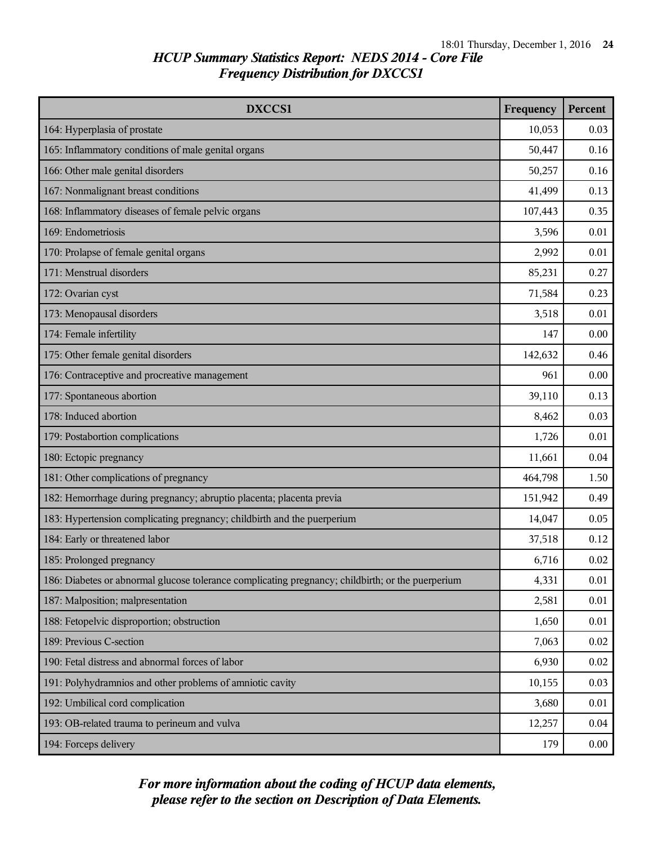| DXCCS1                                                                                            | Frequency | <b>Percent</b> |
|---------------------------------------------------------------------------------------------------|-----------|----------------|
| 164: Hyperplasia of prostate                                                                      | 10,053    | 0.03           |
| 165: Inflammatory conditions of male genital organs                                               | 50,447    | 0.16           |
| 166: Other male genital disorders                                                                 | 50,257    | 0.16           |
| 167: Nonmalignant breast conditions                                                               | 41,499    | 0.13           |
| 168: Inflammatory diseases of female pelvic organs                                                | 107,443   | 0.35           |
| 169: Endometriosis                                                                                | 3,596     | 0.01           |
| 170: Prolapse of female genital organs                                                            | 2,992     | 0.01           |
| 171: Menstrual disorders                                                                          | 85,231    | 0.27           |
| 172: Ovarian cyst                                                                                 | 71,584    | 0.23           |
| 173: Menopausal disorders                                                                         | 3,518     | 0.01           |
| 174: Female infertility                                                                           | 147       | 0.00           |
| 175: Other female genital disorders                                                               | 142,632   | 0.46           |
| 176: Contraceptive and procreative management                                                     | 961       | 0.00           |
| 177: Spontaneous abortion                                                                         | 39,110    | 0.13           |
| 178: Induced abortion                                                                             | 8,462     | 0.03           |
| 179: Postabortion complications                                                                   | 1,726     | 0.01           |
| 180: Ectopic pregnancy                                                                            | 11,661    | 0.04           |
| 181: Other complications of pregnancy                                                             | 464,798   | 1.50           |
| 182: Hemorrhage during pregnancy; abruptio placenta; placenta previa                              | 151,942   | 0.49           |
| 183: Hypertension complicating pregnancy; childbirth and the puerperium                           | 14,047    | 0.05           |
| 184: Early or threatened labor                                                                    | 37,518    | 0.12           |
| 185: Prolonged pregnancy                                                                          | 6,716     | 0.02           |
| 186: Diabetes or abnormal glucose tolerance complicating pregnancy; childbirth; or the puerperium | 4,331     | 0.01           |
| 187: Malposition; malpresentation                                                                 | 2,581     | 0.01           |
| 188: Fetopelvic disproportion; obstruction                                                        | 1,650     | 0.01           |
| 189: Previous C-section                                                                           | 7,063     | 0.02           |
| 190: Fetal distress and abnormal forces of labor                                                  | 6,930     | 0.02           |
| 191: Polyhydramnios and other problems of amniotic cavity                                         | 10,155    | 0.03           |
| 192: Umbilical cord complication                                                                  | 3,680     | 0.01           |
| 193: OB-related trauma to perineum and vulva                                                      | 12,257    | 0.04           |
| 194: Forceps delivery                                                                             | 179       | 0.00           |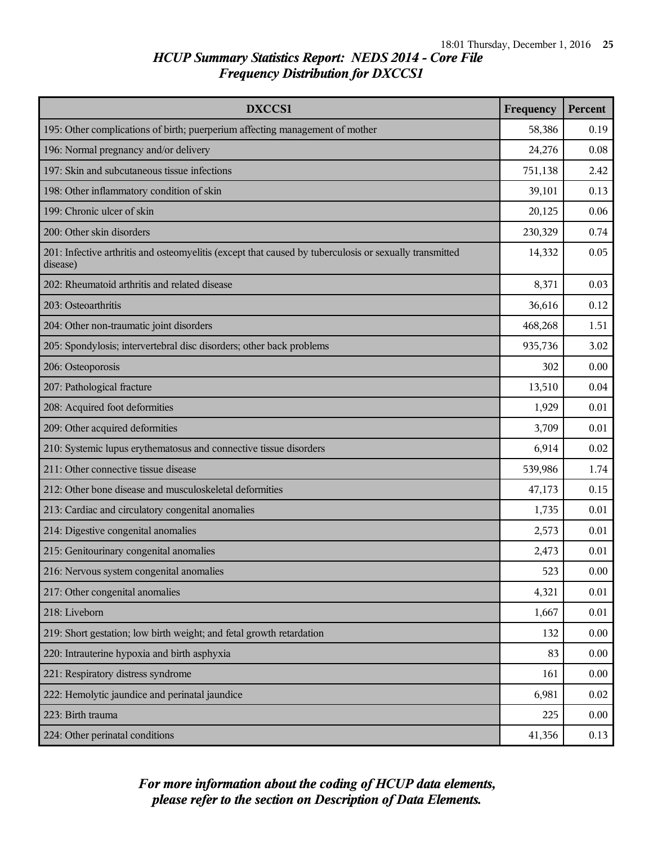| <b>DXCCS1</b>                                                                                                      | Frequency | <b>Percent</b> |
|--------------------------------------------------------------------------------------------------------------------|-----------|----------------|
| 195: Other complications of birth; puerperium affecting management of mother                                       | 58,386    | 0.19           |
| 196: Normal pregnancy and/or delivery                                                                              | 24,276    | 0.08           |
| 197: Skin and subcutaneous tissue infections                                                                       | 751,138   | 2.42           |
| 198: Other inflammatory condition of skin                                                                          | 39,101    | 0.13           |
| 199: Chronic ulcer of skin                                                                                         | 20,125    | 0.06           |
| 200: Other skin disorders                                                                                          | 230,329   | 0.74           |
| 201: Infective arthritis and osteomyelitis (except that caused by tuberculosis or sexually transmitted<br>disease) | 14,332    | 0.05           |
| 202: Rheumatoid arthritis and related disease                                                                      | 8,371     | 0.03           |
| 203: Osteoarthritis                                                                                                | 36,616    | 0.12           |
| 204: Other non-traumatic joint disorders                                                                           | 468,268   | 1.51           |
| 205: Spondylosis; intervertebral disc disorders; other back problems                                               | 935,736   | 3.02           |
| 206: Osteoporosis                                                                                                  | 302       | 0.00           |
| 207: Pathological fracture                                                                                         | 13,510    | 0.04           |
| 208: Acquired foot deformities                                                                                     | 1,929     | 0.01           |
| 209: Other acquired deformities                                                                                    | 3,709     | 0.01           |
| 210: Systemic lupus erythematosus and connective tissue disorders                                                  | 6,914     | 0.02           |
| 211: Other connective tissue disease                                                                               | 539,986   | 1.74           |
| 212: Other bone disease and musculoskeletal deformities                                                            | 47,173    | 0.15           |
| 213: Cardiac and circulatory congenital anomalies                                                                  | 1,735     | 0.01           |
| 214: Digestive congenital anomalies                                                                                | 2,573     | 0.01           |
| 215: Genitourinary congenital anomalies                                                                            | 2,473     | 0.01           |
| 216: Nervous system congenital anomalies                                                                           | 523       | 0.00           |
| 217: Other congenital anomalies                                                                                    | 4,321     | 0.01           |
| 218: Liveborn                                                                                                      | 1,667     | 0.01           |
| 219: Short gestation; low birth weight; and fetal growth retardation                                               | 132       | 0.00           |
| 220: Intrauterine hypoxia and birth asphyxia                                                                       | 83        | 0.00           |
| 221: Respiratory distress syndrome                                                                                 | 161       | 0.00           |
| 222: Hemolytic jaundice and perinatal jaundice                                                                     | 6,981     | 0.02           |
| 223: Birth trauma                                                                                                  | 225       | 0.00           |
| 224: Other perinatal conditions                                                                                    | 41,356    | 0.13           |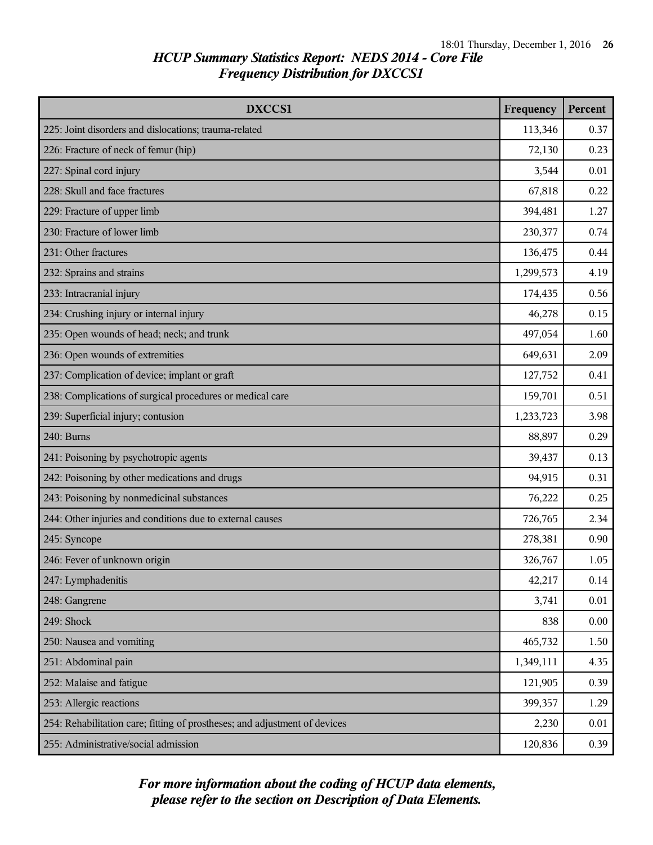| DXCCS1                                                                     | Frequency | <b>Percent</b> |
|----------------------------------------------------------------------------|-----------|----------------|
| 225: Joint disorders and dislocations; trauma-related                      | 113,346   | 0.37           |
| 226: Fracture of neck of femur (hip)                                       | 72,130    | 0.23           |
| 227: Spinal cord injury                                                    | 3,544     | 0.01           |
| 228: Skull and face fractures                                              | 67,818    | 0.22           |
| 229: Fracture of upper limb                                                | 394,481   | 1.27           |
| 230: Fracture of lower limb                                                | 230,377   | 0.74           |
| 231: Other fractures                                                       | 136,475   | 0.44           |
| 232: Sprains and strains                                                   | 1,299,573 | 4.19           |
| 233: Intracranial injury                                                   | 174,435   | 0.56           |
| 234: Crushing injury or internal injury                                    | 46,278    | 0.15           |
| 235: Open wounds of head; neck; and trunk                                  | 497,054   | 1.60           |
| 236: Open wounds of extremities                                            | 649,631   | 2.09           |
| 237: Complication of device; implant or graft                              | 127,752   | 0.41           |
| 238: Complications of surgical procedures or medical care                  | 159,701   | 0.51           |
| 239: Superficial injury; contusion                                         | 1,233,723 | 3.98           |
| 240: Burns                                                                 | 88,897    | 0.29           |
| 241: Poisoning by psychotropic agents                                      | 39,437    | 0.13           |
| 242: Poisoning by other medications and drugs                              | 94,915    | 0.31           |
| 243: Poisoning by nonmedicinal substances                                  | 76,222    | 0.25           |
| 244: Other injuries and conditions due to external causes                  | 726,765   | 2.34           |
| 245: Syncope                                                               | 278,381   | 0.90           |
| 246: Fever of unknown origin                                               | 326,767   | 1.05           |
| 247: Lymphadenitis                                                         | 42,217    | 0.14           |
| 248: Gangrene                                                              | 3,741     | 0.01           |
| 249: Shock                                                                 | 838       | 0.00           |
| 250: Nausea and vomiting                                                   | 465,732   | 1.50           |
| 251: Abdominal pain                                                        | 1,349,111 | 4.35           |
| 252: Malaise and fatigue                                                   | 121,905   | 0.39           |
| 253: Allergic reactions                                                    | 399,357   | 1.29           |
| 254: Rehabilitation care; fitting of prostheses; and adjustment of devices | 2,230     | 0.01           |
| 255: Administrative/social admission                                       | 120,836   | 0.39           |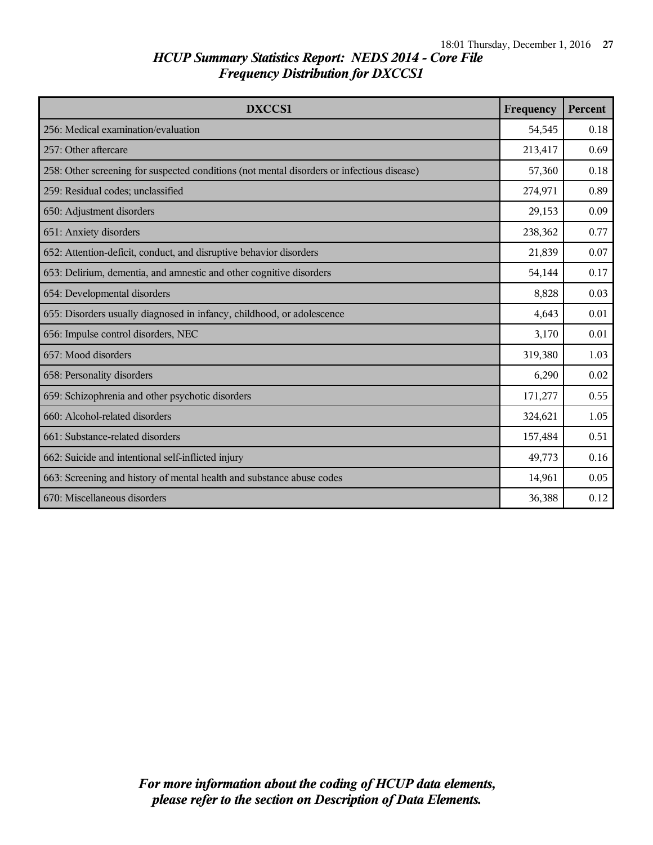| <b>DXCCS1</b>                                                                              | Frequency | <b>Percent</b> |
|--------------------------------------------------------------------------------------------|-----------|----------------|
| 256: Medical examination/evaluation                                                        | 54,545    | 0.18           |
| 257: Other aftercare                                                                       | 213,417   | 0.69           |
| 258: Other screening for suspected conditions (not mental disorders or infectious disease) | 57,360    | 0.18           |
| 259: Residual codes; unclassified                                                          | 274,971   | 0.89           |
| 650: Adjustment disorders                                                                  | 29,153    | 0.09           |
| 651: Anxiety disorders                                                                     | 238,362   | 0.77           |
| 652: Attention-deficit, conduct, and disruptive behavior disorders                         | 21,839    | 0.07           |
| 653: Delirium, dementia, and amnestic and other cognitive disorders                        | 54,144    | 0.17           |
| 654: Developmental disorders                                                               | 8,828     | 0.03           |
| 655: Disorders usually diagnosed in infancy, childhood, or adolescence                     | 4,643     | 0.01           |
| 656: Impulse control disorders, NEC                                                        | 3,170     | 0.01           |
| 657: Mood disorders                                                                        | 319,380   | 1.03           |
| 658: Personality disorders                                                                 | 6,290     | 0.02           |
| 659: Schizophrenia and other psychotic disorders                                           | 171,277   | 0.55           |
| 660: Alcohol-related disorders                                                             | 324,621   | 1.05           |
| 661: Substance-related disorders                                                           | 157,484   | 0.51           |
| 662: Suicide and intentional self-inflicted injury                                         | 49,773    | 0.16           |
| 663: Screening and history of mental health and substance abuse codes                      | 14,961    | 0.05           |
| 670: Miscellaneous disorders                                                               | 36,388    | 0.12           |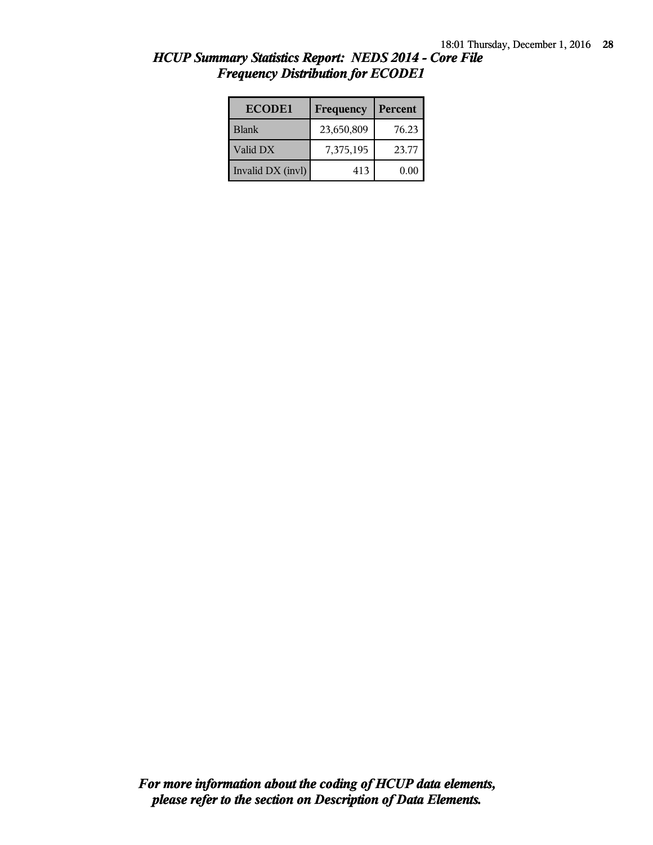| <b>ECODE1</b>     | Frequency  | Percent |
|-------------------|------------|---------|
| <b>Blank</b>      | 23,650,809 | 76.23   |
| Valid DX          | 7,375,195  | 23.77   |
| Invalid DX (invl) | 413        | 0.00    |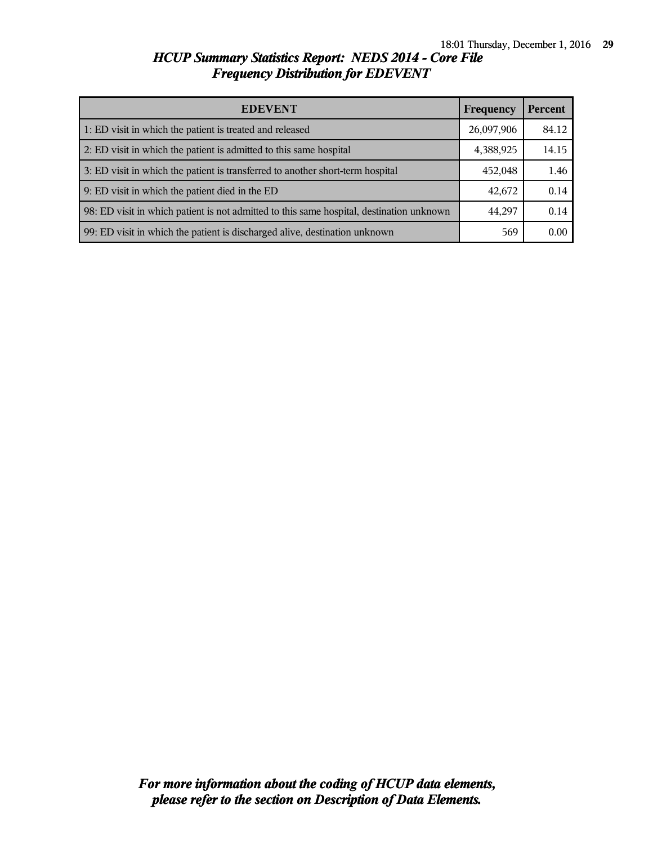| <b>EDEVENT</b>                                                                           | Frequency  | <b>Percent</b> |
|------------------------------------------------------------------------------------------|------------|----------------|
| 1: ED visit in which the patient is treated and released                                 | 26,097,906 | 84.12          |
| 2: ED visit in which the patient is admitted to this same hospital                       | 4,388,925  | 14.15          |
| 3: ED visit in which the patient is transferred to another short-term hospital           | 452,048    | 1.46           |
| 9: ED visit in which the patient died in the ED                                          | 42,672     | 0.14           |
| 98: ED visit in which patient is not admitted to this same hospital, destination unknown | 44,297     | 0.14           |
| 99: ED visit in which the patient is discharged alive, destination unknown               | 569        | 0.00           |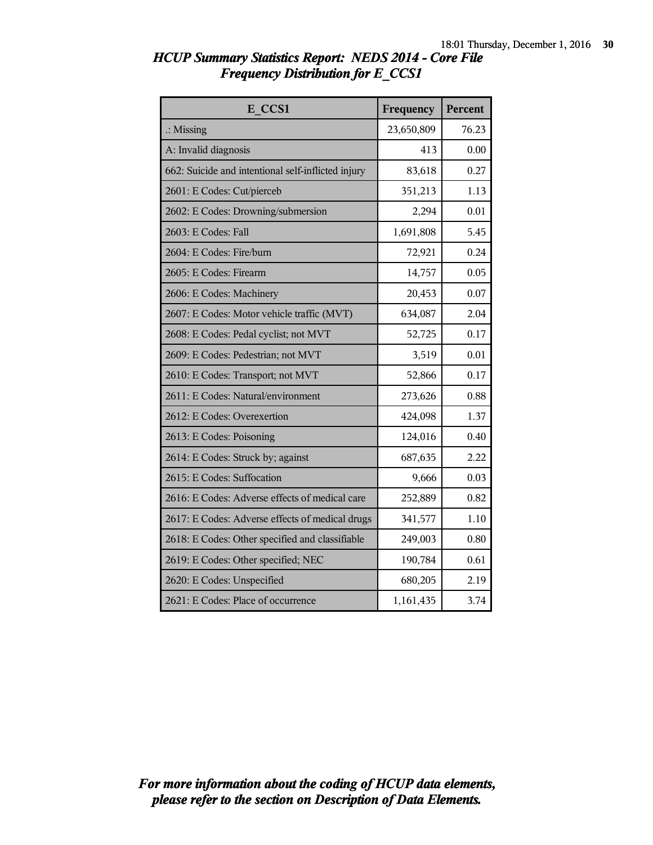| E CCS1                                             | Frequency  | Percent |
|----------------------------------------------------|------------|---------|
| $\therefore$ Missing                               | 23,650,809 | 76.23   |
| A: Invalid diagnosis                               | 413        | 0.00    |
| 662: Suicide and intentional self-inflicted injury | 83,618     | 0.27    |
| 2601: E Codes: Cut/pierceb                         | 351,213    | 1.13    |
| 2602: E Codes: Drowning/submersion                 | 2,294      | 0.01    |
| 2603: E Codes: Fall                                | 1,691,808  | 5.45    |
| 2604: E Codes: Fire/burn                           | 72,921     | 0.24    |
| 2605: E Codes: Firearm                             | 14,757     | 0.05    |
| 2606: E Codes: Machinery                           | 20,453     | 0.07    |
| 2607: E Codes: Motor vehicle traffic (MVT)         | 634,087    | 2.04    |
| 2608: E Codes: Pedal cyclist; not MVT              | 52,725     | 0.17    |
| 2609: E Codes: Pedestrian; not MVT                 | 3,519      | 0.01    |
| 2610: E Codes: Transport; not MVT                  | 52,866     | 0.17    |
| 2611: E Codes: Natural/environment                 | 273,626    | 0.88    |
| 2612: E Codes: Overexertion                        | 424,098    | 1.37    |
| 2613: E Codes: Poisoning                           | 124,016    | 0.40    |
| 2614: E Codes: Struck by; against                  | 687,635    | 2.22    |
| 2615: E Codes: Suffocation                         | 9,666      | 0.03    |
| 2616: E Codes: Adverse effects of medical care     | 252,889    | 0.82    |
| 2617: E Codes: Adverse effects of medical drugs    | 341,577    | 1.10    |
| 2618: E Codes: Other specified and classifiable    | 249,003    | 0.80    |
| 2619: E Codes: Other specified; NEC                | 190,784    | 0.61    |
| 2620: E Codes: Unspecified                         | 680,205    | 2.19    |
| 2621: E Codes: Place of occurrence                 | 1,161,435  | 3.74    |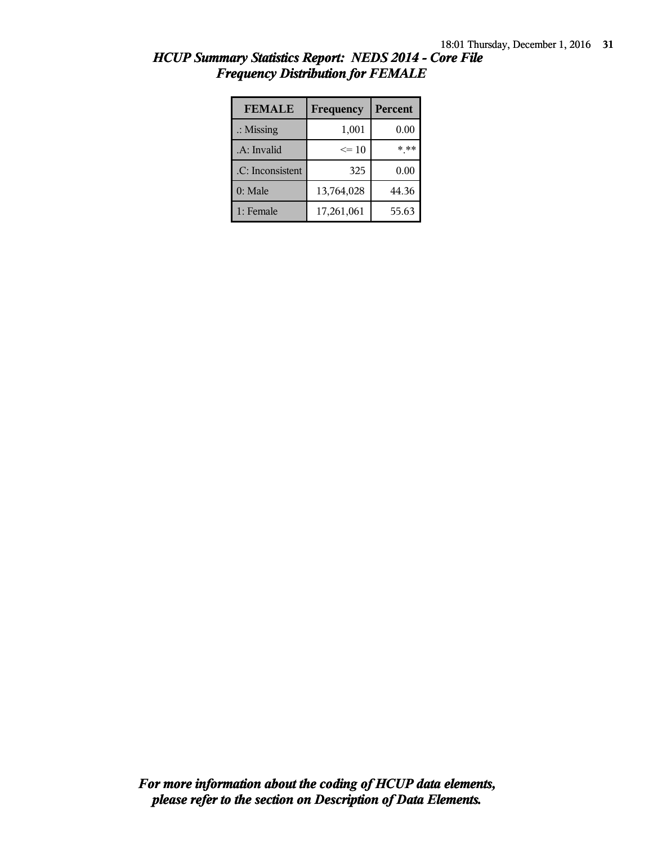| <b>FEMALE</b>        | Frequency  | <b>Percent</b> |
|----------------------|------------|----------------|
| $\therefore$ Missing | 1,001      | 0.00           |
| .A: Invalid          | $\leq 10$  | * **           |
| .C: Inconsistent     | 325        | 0.00           |
| $0:$ Male            | 13,764,028 | 44.36          |
| 1: Female            | 17,261,061 | 55.63          |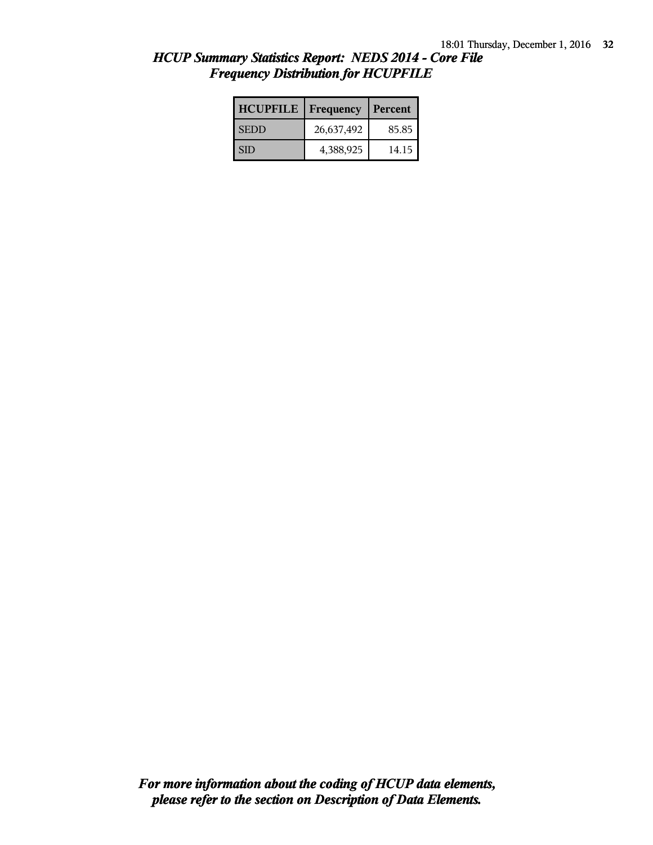| <b>HCUPFILE</b> | Frequency  | Percent |
|-----------------|------------|---------|
| <b>SEDD</b>     | 26,637,492 | 85.85   |
| <b>SID</b>      | 4,388,925  | 14.15   |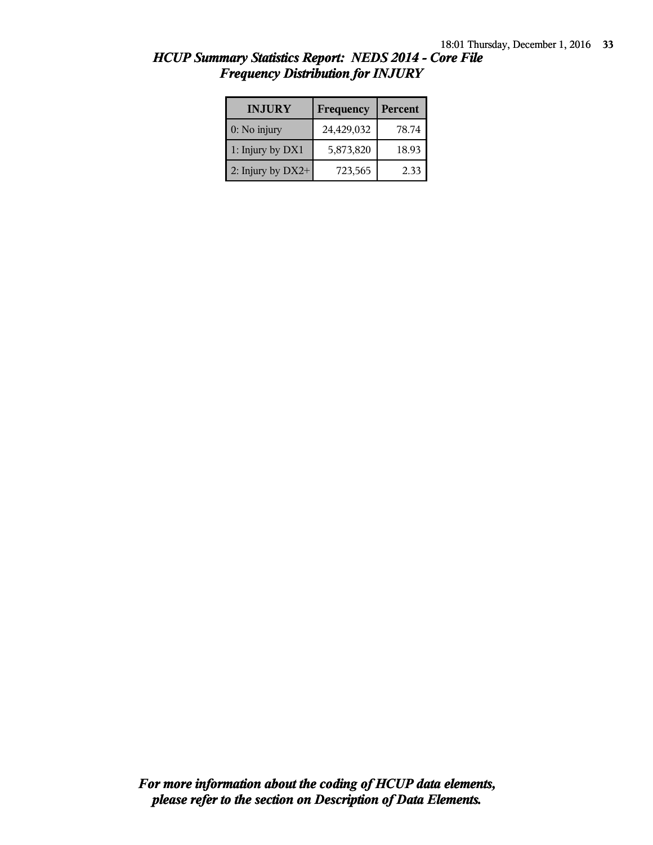| <b>INJURY</b>     | <b>Frequency</b> | Percent |
|-------------------|------------------|---------|
| $0:$ No injury    | 24,429,032       | 78.74   |
| 1: Injury by DX1  | 5,873,820        | 18.93   |
| 2: Injury by DX2+ | 723,565          | 2.33    |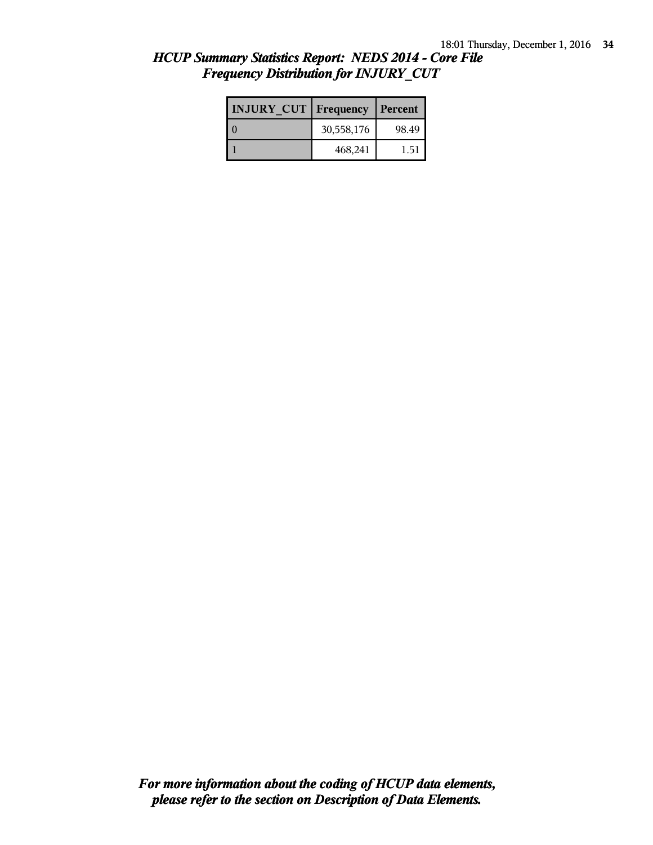| <b>INJURY CUT   Frequency</b> |            | Percent |
|-------------------------------|------------|---------|
|                               | 30,558,176 | 98.49   |
|                               | 468,241    | 1.51    |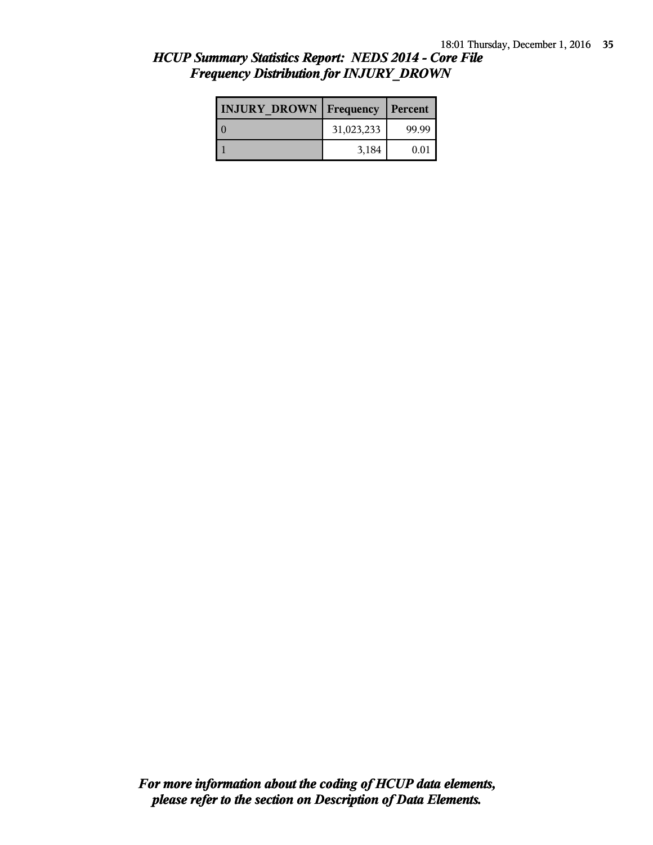| <b>INJURY DROWN Frequency</b> |            | Percent |
|-------------------------------|------------|---------|
|                               | 31,023,233 | 99.99   |
|                               | 3,184      | 0.01    |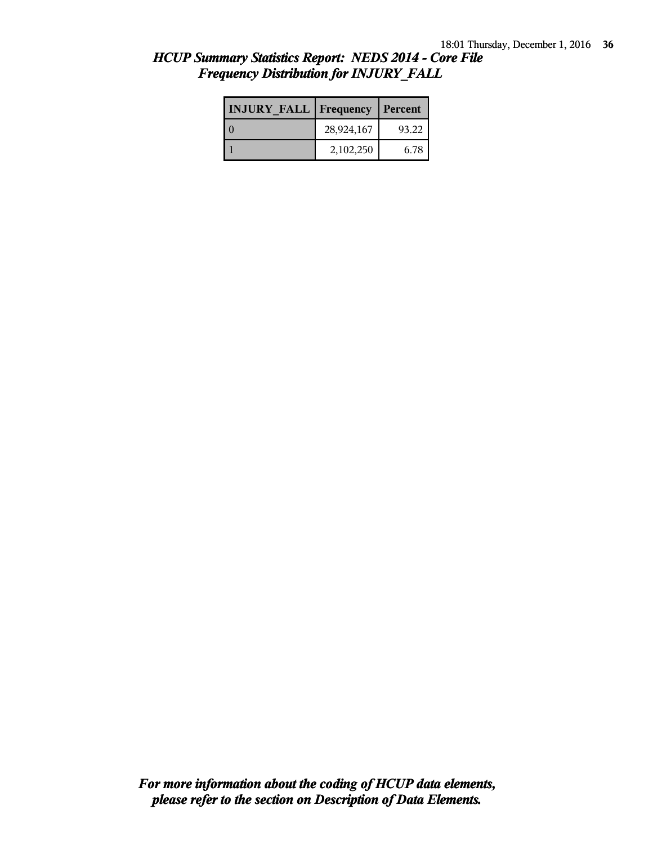| <b>INJURY FALL Frequency</b> |            | Percent |
|------------------------------|------------|---------|
|                              | 28,924,167 | 93.22   |
|                              | 2,102,250  | 6.78    |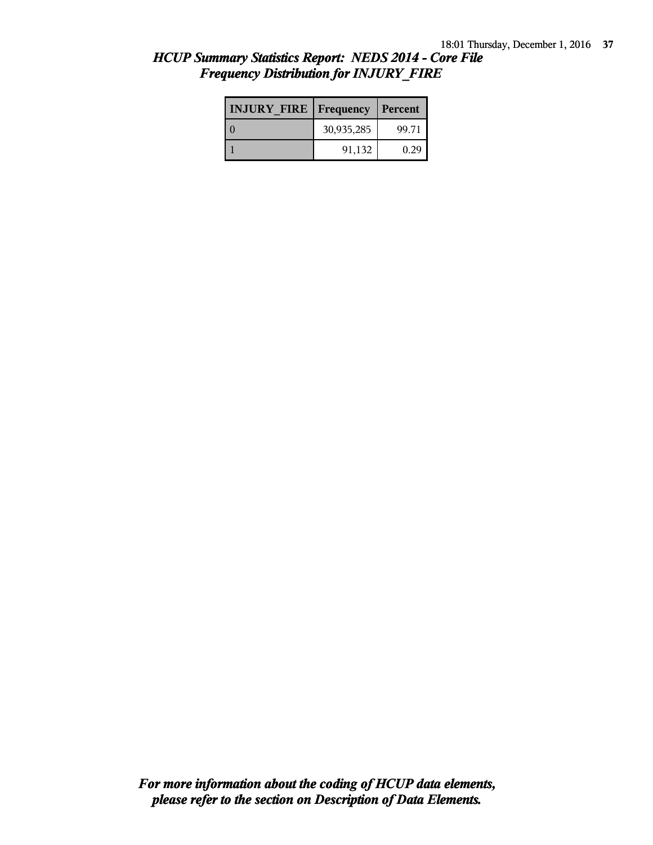| <b>INJURY FIRE Frequency</b> |            | Percent |
|------------------------------|------------|---------|
|                              | 30,935,285 | 99.71   |
|                              | 91,132     | O 29    |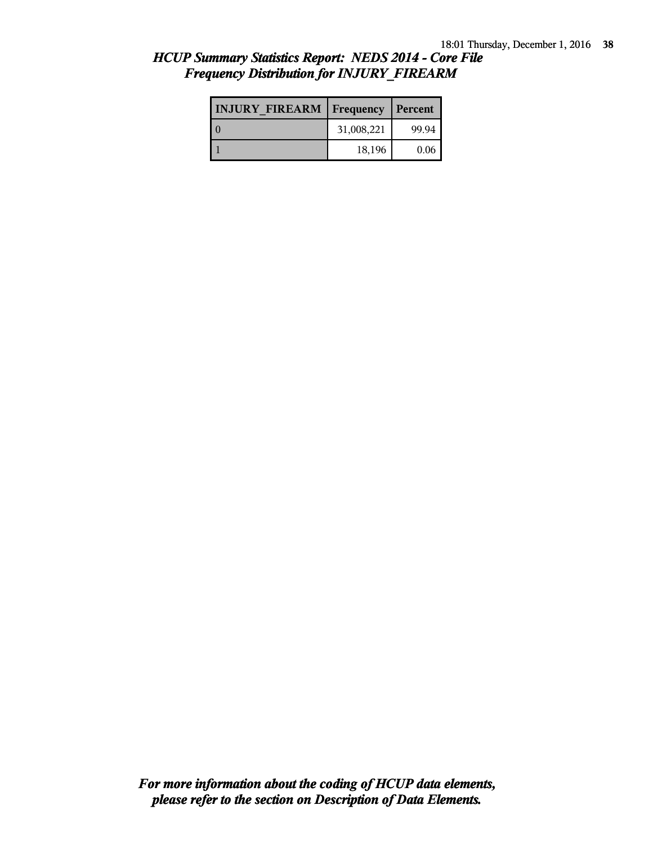| <b>INJURY FIREARM Frequency</b> |            | <b>Percent</b> |
|---------------------------------|------------|----------------|
|                                 | 31,008,221 | 99.94          |
|                                 | 18,196     | 0.06           |

# *HCUP Summary Statistics Report: NEDS 2014 - Core File Frequency Distribution for INJURY\_FIREARM*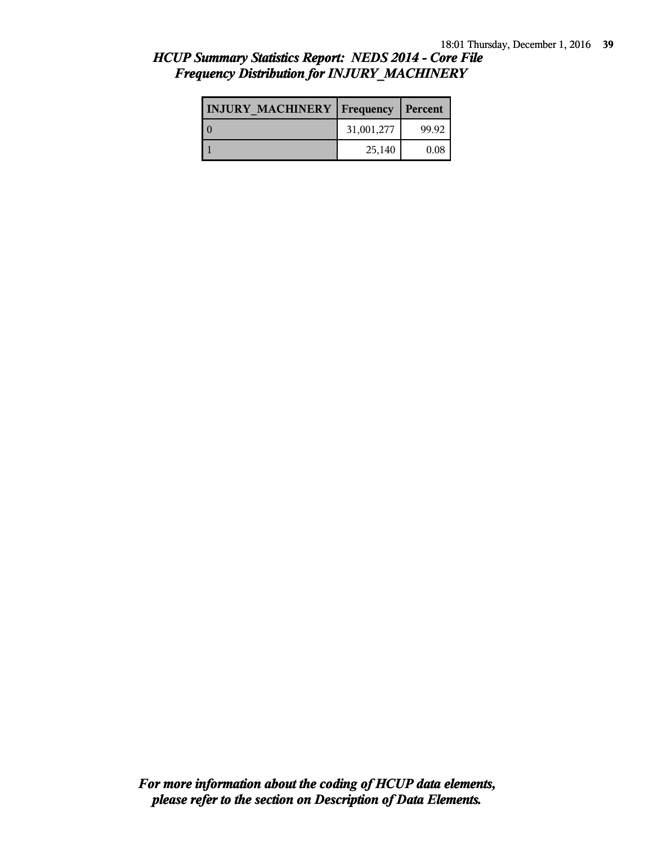| <b>INJURY MACHINERY   Frequency   Percent</b> |            |       |
|-----------------------------------------------|------------|-------|
|                                               | 31,001,277 | 99.92 |
|                                               | 25,140     | 0.08  |

### *HCUP Summary Statistics Report: NEDS 2014 - Core File Frequency Distribution for INJURY\_MACHINERY*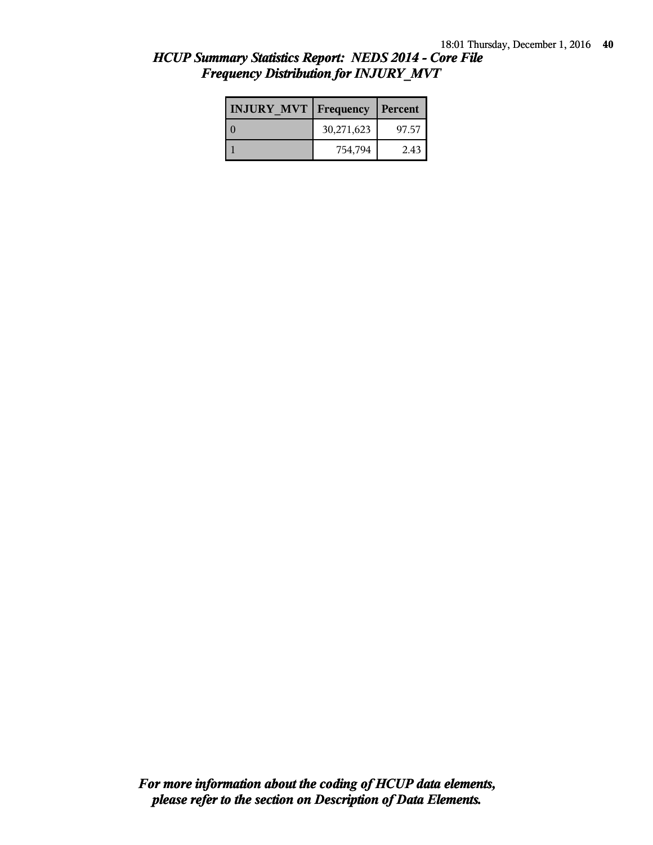| <b>INJURY MVT   Frequency</b> |            | l Percent |
|-------------------------------|------------|-----------|
|                               | 30,271,623 | 97.57     |
|                               | 754,794    | 2.43      |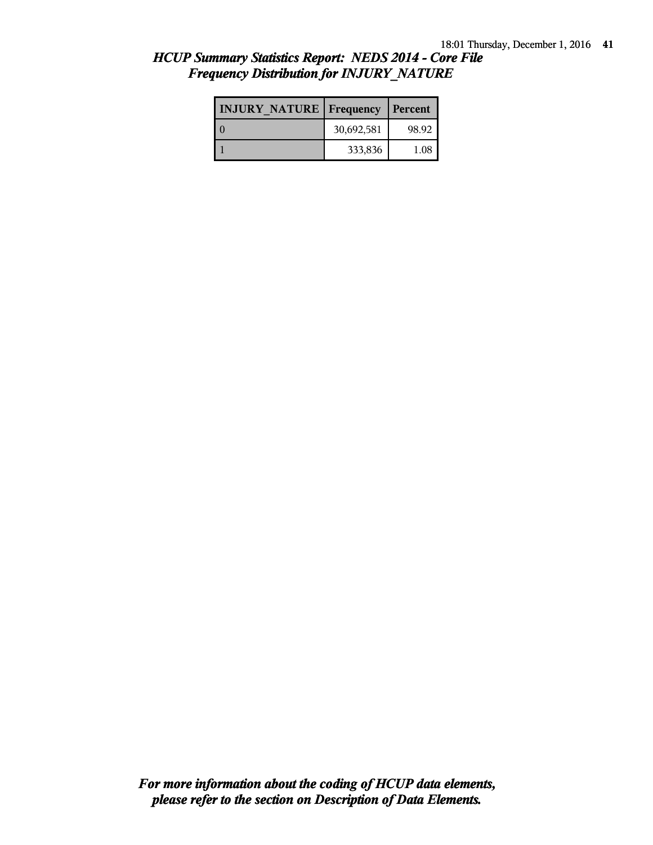| <b>INJURY NATURE   Frequency</b> |            | Percent  |
|----------------------------------|------------|----------|
|                                  | 30,692,581 | 98.92    |
|                                  | 333,836    | $1.08\,$ |

### *HCUP Summary Statistics Report: NEDS 2014 - Core File Frequency Distribution for INJURY\_NATURE*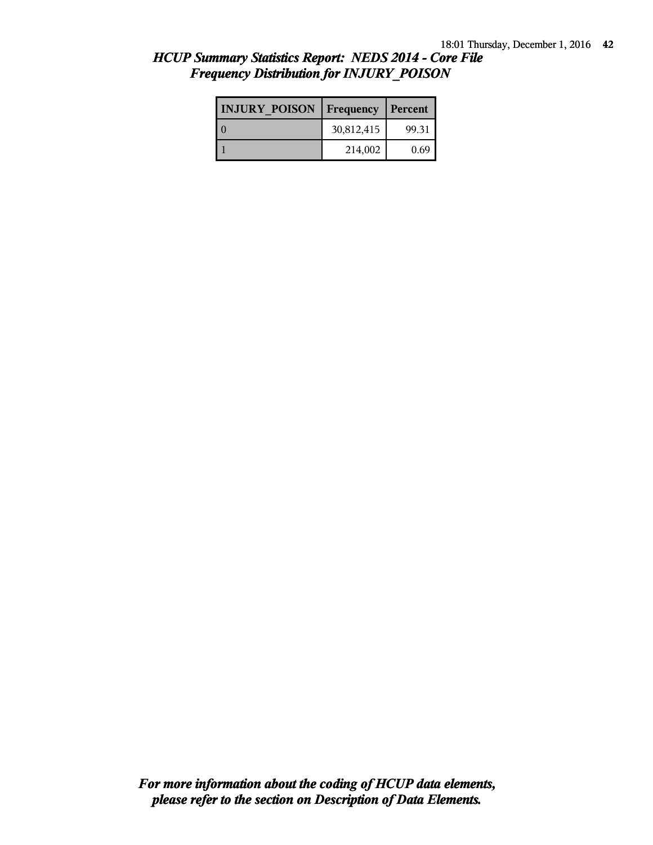| <b>INJURY POISON</b> | <b>Frequency</b> | Percent |
|----------------------|------------------|---------|
|                      | 30,812,415       | 99.31   |
|                      | 214,002          | 0.69    |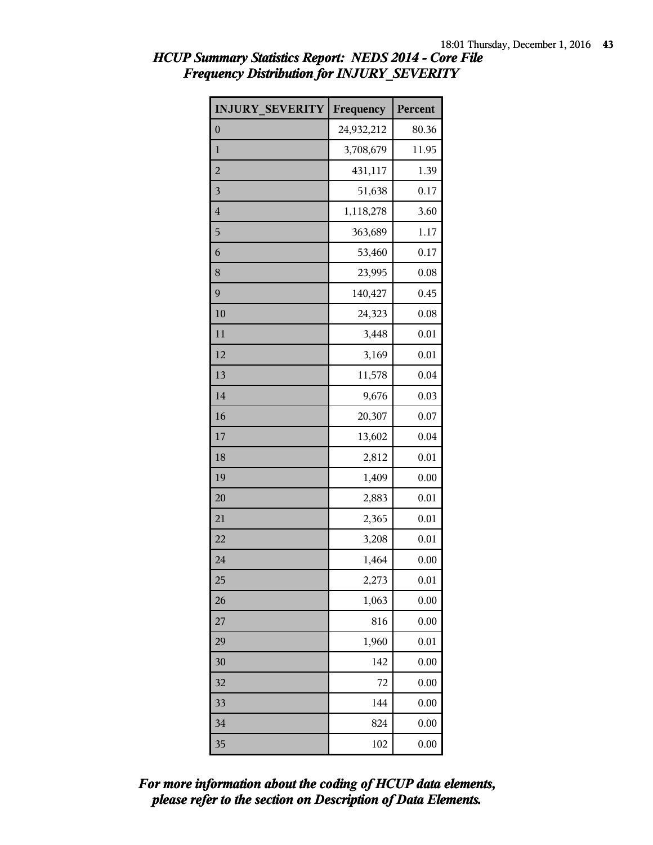| <b>INJURY SEVERITY</b>  | Frequency  | Percent |
|-------------------------|------------|---------|
| $\overline{0}$          | 24,932,212 | 80.36   |
| $\mathbf{1}$            | 3,708,679  | 11.95   |
| $\overline{c}$          | 431,117    | 1.39    |
| $\overline{\mathbf{3}}$ | 51,638     | 0.17    |
| $\overline{4}$          | 1,118,278  | 3.60    |
| 5                       | 363,689    | 1.17    |
| 6                       | 53,460     | 0.17    |
| 8                       | 23,995     | 0.08    |
| 9                       | 140,427    | 0.45    |
| 10                      | 24,323     | 0.08    |
| 11                      | 3,448      | 0.01    |
| 12                      | 3,169      | 0.01    |
| 13                      | 11,578     | 0.04    |
| 14                      | 9,676      | 0.03    |
| 16                      | 20,307     | 0.07    |
| 17                      | 13,602     | 0.04    |
| 18                      | 2,812      | 0.01    |
| 19                      | 1,409      | 0.00    |
| 20                      | 2,883      | 0.01    |
| 21                      | 2,365      | 0.01    |
| 22                      | 3,208      | 0.01    |
| 24                      | 1,464      | 0.00    |
| 25                      | 2,273      | 0.01    |
| 26                      | 1,063      | 0.00    |
| 27                      | 816        | 0.00    |
| 29                      | 1,960      | 0.01    |
| 30                      | 142        | 0.00    |
| 32                      | 72         | 0.00    |
| 33                      | 144        | 0.00    |
| 34                      | 824        | 0.00    |
| 35                      | 102        | 0.00    |

# *HCUP Summary Statistics Report: NEDS 2014 - Core File Frequency Distribution for INJURY\_SEVERITY*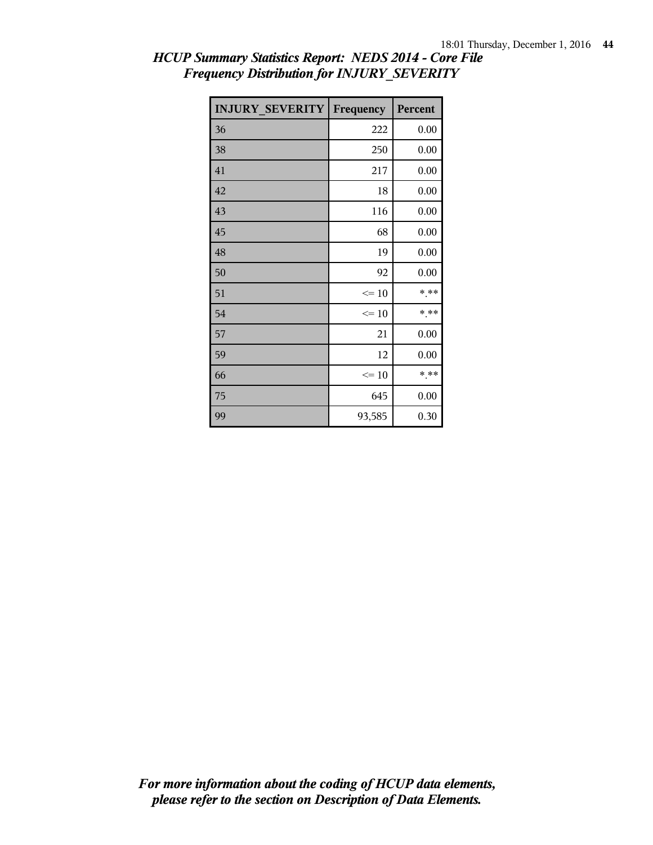| <b>INJURY SEVERITY</b> | Frequency | Percent |
|------------------------|-----------|---------|
| 36                     | 222       | 0.00    |
| 38                     | 250       | 0.00    |
| 41                     | 217       | 0.00    |
| 42                     | 18        | 0.00    |
| 43                     | 116       | 0.00    |
| 45                     | 68        | 0.00    |
| 48                     | 19        | 0.00    |
| 50                     | 92        | 0.00    |
| 51                     | $\leq 10$ | * **    |
| 54                     | $\leq 10$ | $***$   |
| 57                     | 21        | 0.00    |
| 59                     | 12        | 0.00    |
| 66                     | $\leq$ 10 | * **    |
| 75                     | 645       | 0.00    |
| 99                     | 93,585    | 0.30    |

# *HCUP Summary Statistics Report: NEDS 2014 - Core File Frequency Distribution for INJURY\_SEVERITY*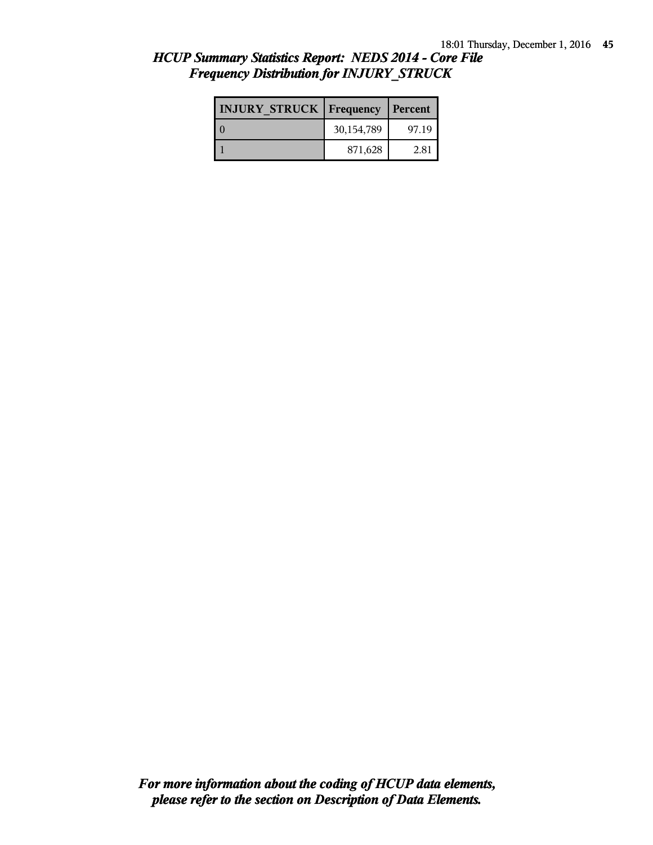| <b>INJURY STRUCK   Frequency</b> |            | Percent |
|----------------------------------|------------|---------|
|                                  | 30,154,789 | 97.19   |
|                                  | 871,628    | 2.81    |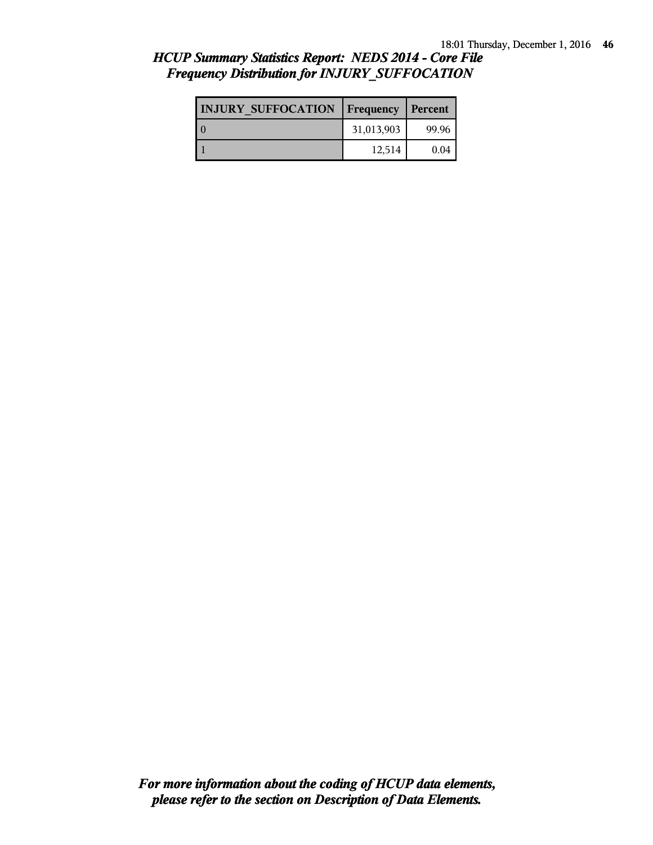| <b>INJURY SUFFOCATION</b> | <b>Frequency</b> | Percent |
|---------------------------|------------------|---------|
|                           | 31,013,903       | 99.96   |
|                           | 12,514           | 0.04    |

### *HCUP Summary Statistics Report: NEDS 2014 - Core File Frequency Distribution for INJURY\_SUFFOCATION*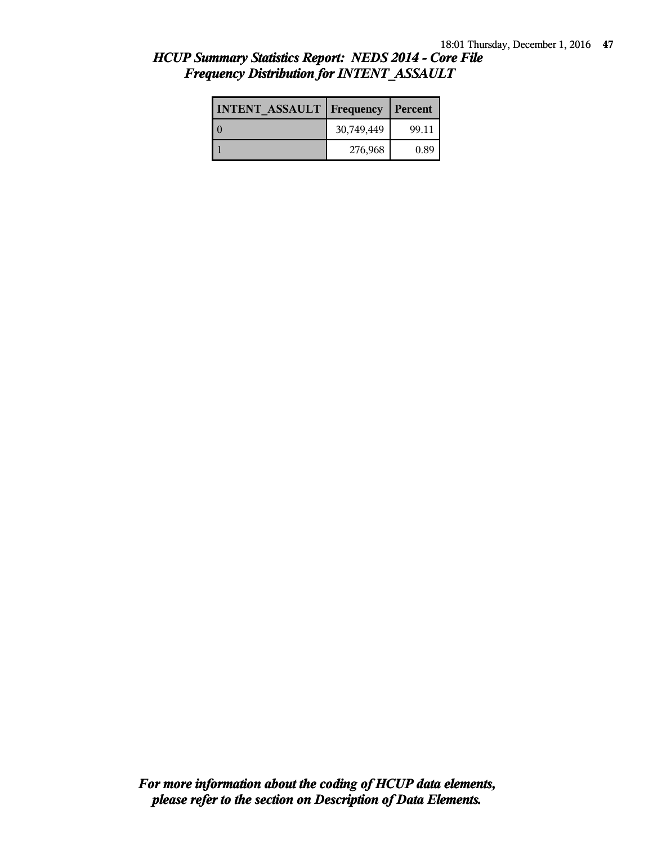| <b>INTENT ASSAULT Frequency</b> |            | Percent |
|---------------------------------|------------|---------|
|                                 | 30,749,449 | 99.11   |
|                                 | 276,968    | 0.89    |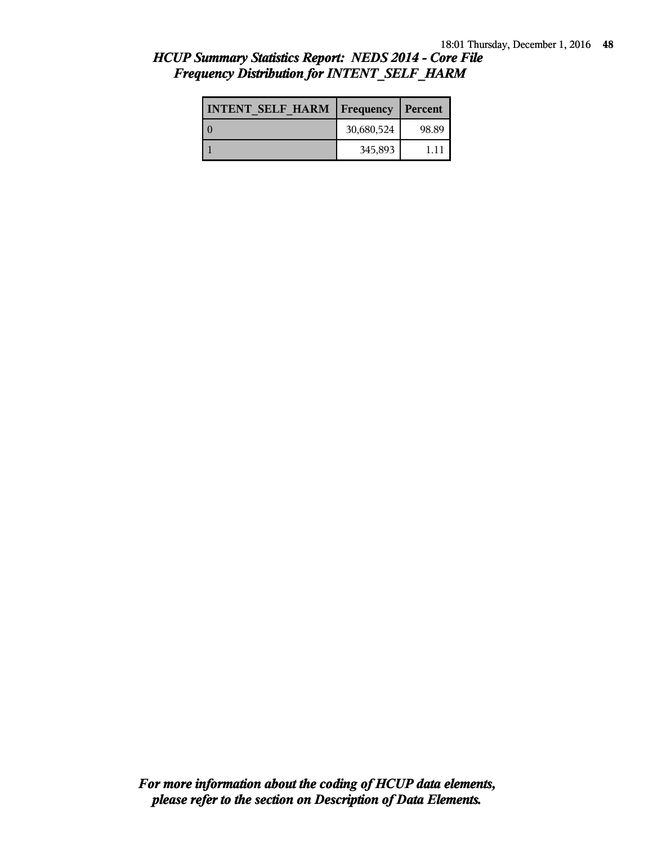| <b>INTENT SELF HARM   Frequency</b> |            | <b>Percent</b> |
|-------------------------------------|------------|----------------|
|                                     | 30,680,524 | 98.89          |
|                                     | 345,893    | 111            |

### *HCUP Summary Statistics Report: NEDS 2014 - Core File Frequency Distribution for INTENT\_SELF\_HARM*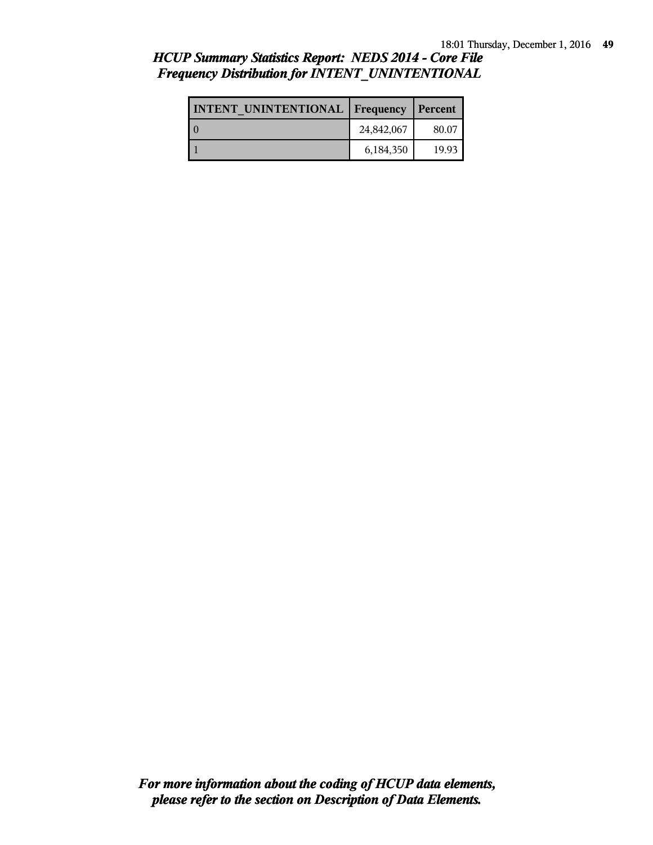| <b>INTENT UNINTENTIONAL   Frequency</b> |            | Percent |
|-----------------------------------------|------------|---------|
|                                         | 24,842,067 | 80.07   |
|                                         | 6,184,350  | 19.93   |

# *HCUP Summary Statistics Report: NEDS 2014 - Core File Frequency Distribution for INTENT\_UNINTENTIONAL*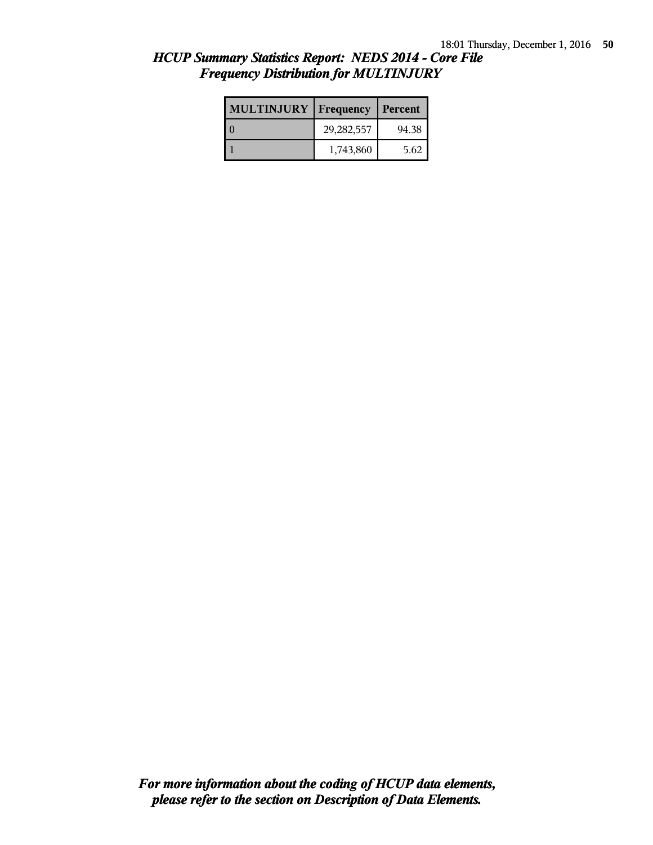| <b>MULTINJURY</b> | Frequency    | Percent |
|-------------------|--------------|---------|
|                   | 29, 282, 557 | 94.38   |
|                   | 1,743,860    | 5.62    |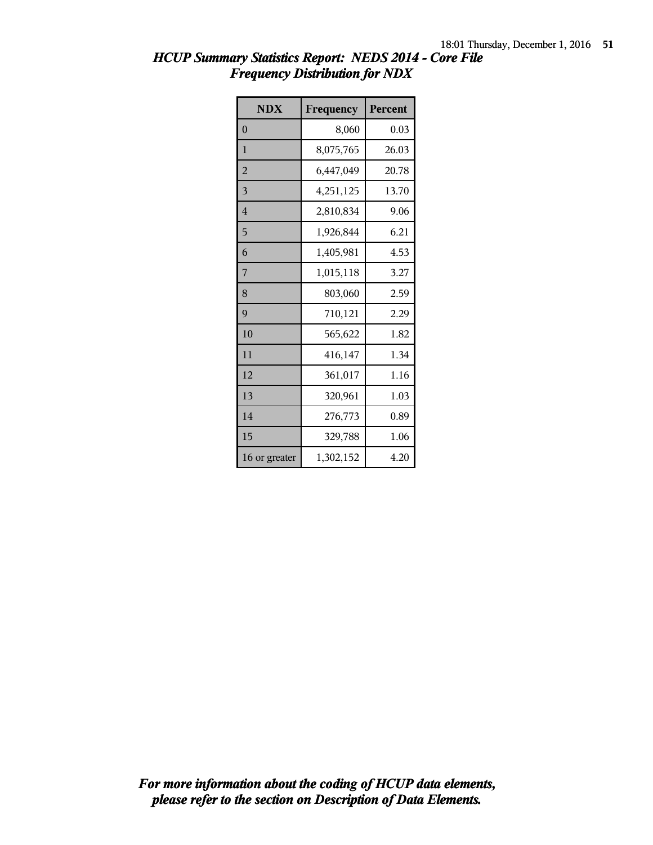| <b>NDX</b>     | Frequency | Percent |
|----------------|-----------|---------|
| $\overline{0}$ | 8,060     | 0.03    |
| 1              | 8,075,765 | 26.03   |
| $\overline{2}$ | 6,447,049 | 20.78   |
| 3              | 4,251,125 | 13.70   |
| $\overline{4}$ | 2,810,834 | 9.06    |
| 5              | 1,926,844 | 6.21    |
| 6              | 1,405,981 | 4.53    |
| 7              | 1,015,118 | 3.27    |
| 8              | 803,060   | 2.59    |
| 9              | 710,121   | 2.29    |
| 10             | 565,622   | 1.82    |
| 11             | 416,147   | 1.34    |
| 12             | 361,017   | 1.16    |
| 13             | 320,961   | 1.03    |
| 14             | 276,773   | 0.89    |
| 15             | 329,788   | 1.06    |
| 16 or greater  | 1,302,152 | 4.20    |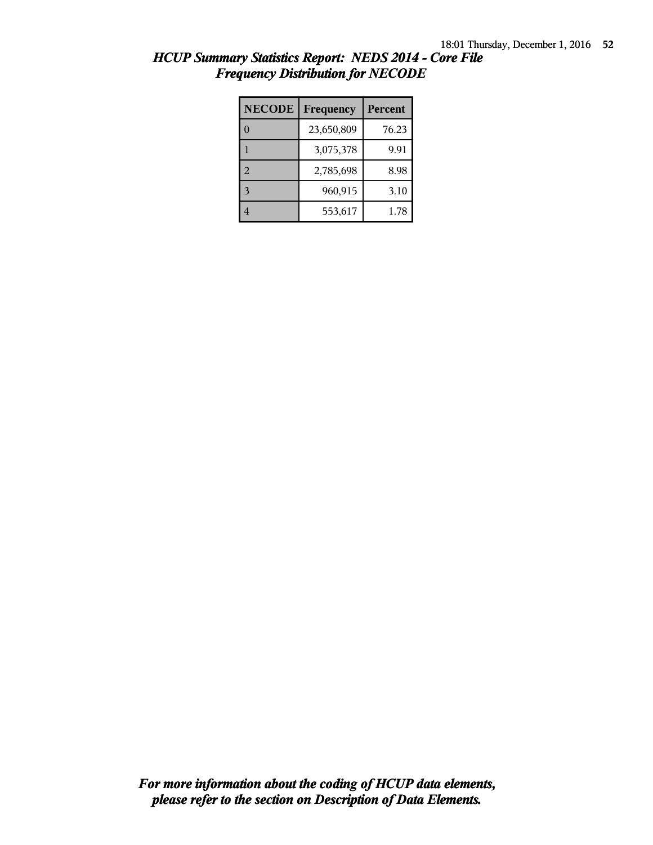| <b>NECODE</b> | Frequency  | <b>Percent</b> |
|---------------|------------|----------------|
|               | 23,650,809 | 76.23          |
|               | 3,075,378  | 9.91           |
| 2             | 2,785,698  | 8.98           |
| 3             | 960,915    | 3.10           |
|               | 553,617    | 1.78           |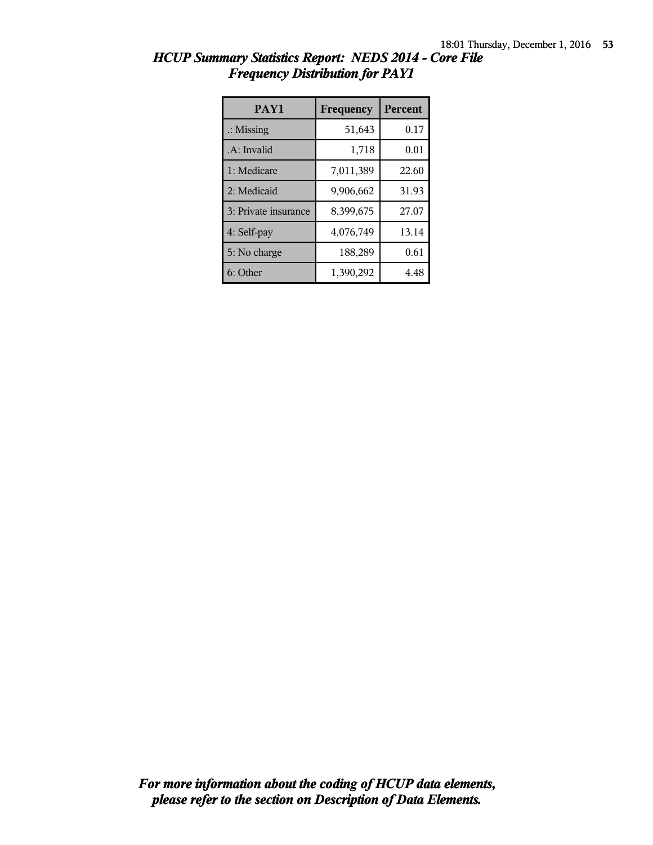| PAY1                 | Frequency | <b>Percent</b> |
|----------------------|-----------|----------------|
| $\therefore$ Missing | 51,643    | 0.17           |
| .A: Invalid          | 1,718     | 0.01           |
| 1: Medicare          | 7,011,389 | 22.60          |
| 2: Medicaid          | 9,906,662 | 31.93          |
| 3: Private insurance | 8,399,675 | 27.07          |
| 4: Self-pay          | 4,076,749 | 13.14          |
| 5: No charge         | 188,289   | 0.61           |
| 6: Other             | 1,390,292 | 4.48           |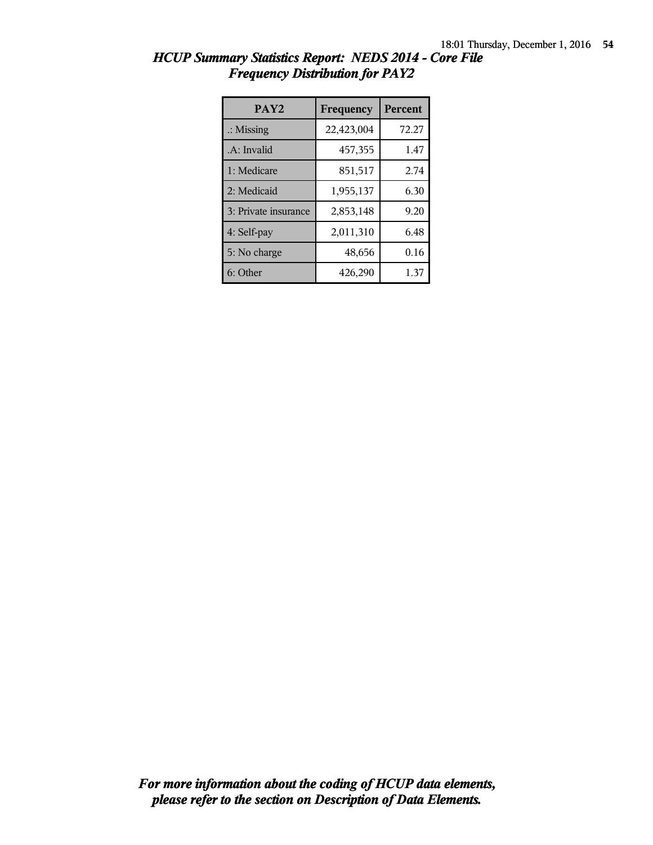| PAY <sub>2</sub>     | Frequency  | <b>Percent</b> |
|----------------------|------------|----------------|
| $\therefore$ Missing | 22,423,004 | 72.27          |
| .A: Invalid          | 457,355    | 1.47           |
| 1: Medicare          | 851,517    | 2.74           |
| 2: Medicaid          | 1,955,137  | 6.30           |
| 3: Private insurance | 2,853,148  | 9.20           |
| 4: Self-pay          | 2,011,310  | 6.48           |
| 5: No charge         | 48,656     | 0.16           |
| 6: Other             | 426,290    | 1.37           |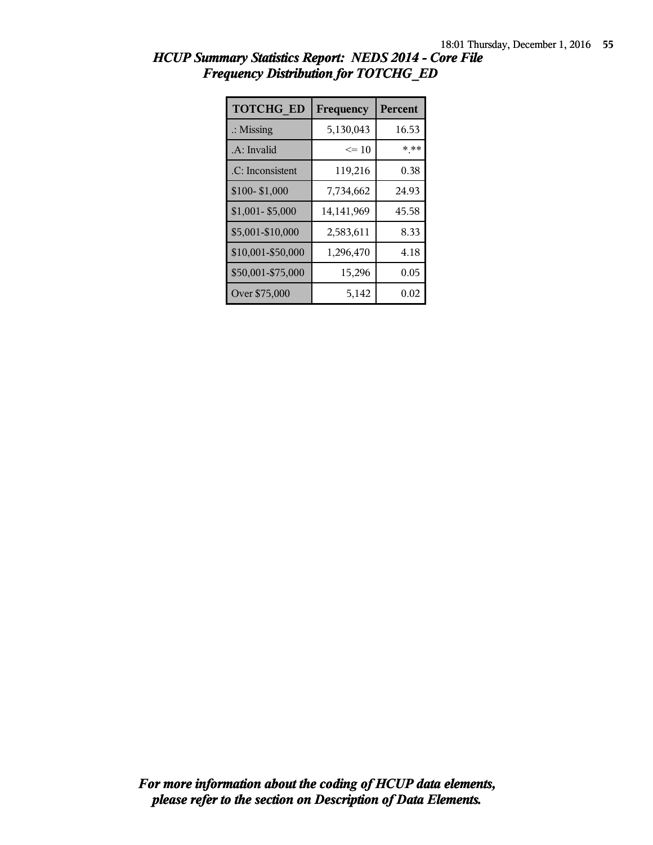| <b>TOTCHG ED</b>     | Frequency  | <b>Percent</b> |
|----------------------|------------|----------------|
| $\therefore$ Missing | 5,130,043  | 16.53          |
| .A: Invalid          | $\leq 10$  | * **           |
| .C: Inconsistent     | 119,216    | 0.38           |
| \$100-\$1,000        | 7,734,662  | 24.93          |
| $$1,001 - $5,000$    | 14,141,969 | 45.58          |
| \$5,001-\$10,000     | 2,583,611  | 8.33           |
| \$10,001-\$50,000    | 1,296,470  | 4.18           |
| \$50,001-\$75,000    | 15,296     | 0.05           |
| Over \$75,000        | 5,142      | 0.02           |

| HCUP Summary Statistics Report: NEDS 2014 - Core File |  |
|-------------------------------------------------------|--|
| <b>Frequency Distribution for TOTCHG ED</b>           |  |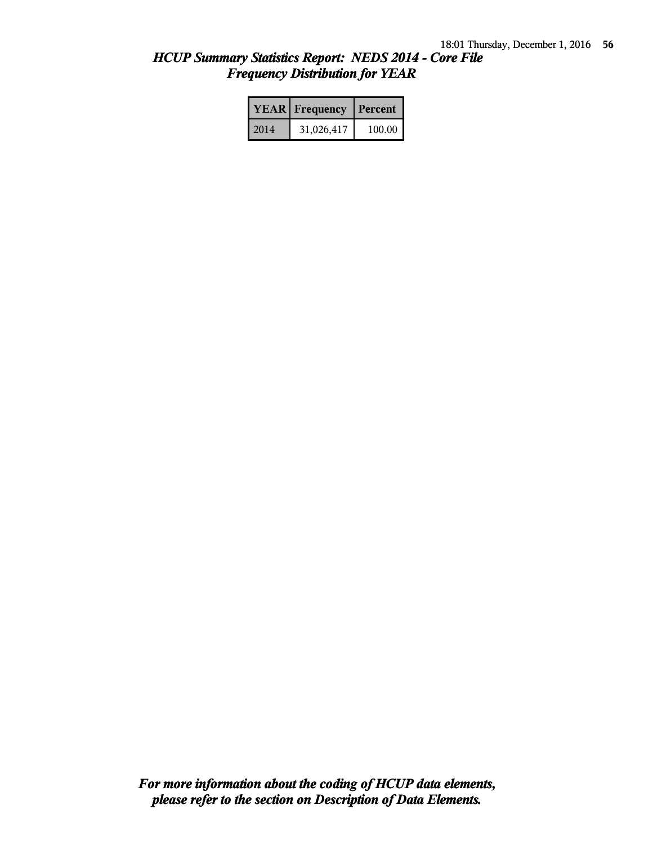|      | <b>YEAR</b> Frequency | Percent |
|------|-----------------------|---------|
| 2014 | 31,026,417            | 100.00  |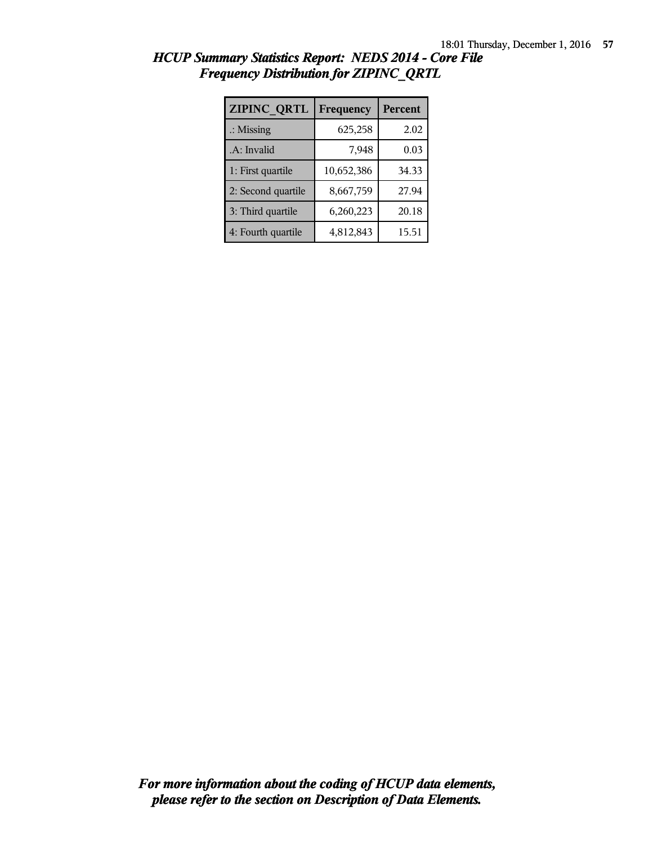| <b>ZIPINC QRTL</b>   | Frequency  | Percent |
|----------------------|------------|---------|
| $\therefore$ Missing | 625,258    | 2.02    |
| .A: Invalid          | 7,948      | 0.03    |
| 1: First quartile    | 10,652,386 | 34.33   |
| 2: Second quartile   | 8,667,759  | 27.94   |
| 3: Third quartile    | 6,260,223  | 20.18   |
| 4: Fourth quartile   | 4,812,843  | 15.51   |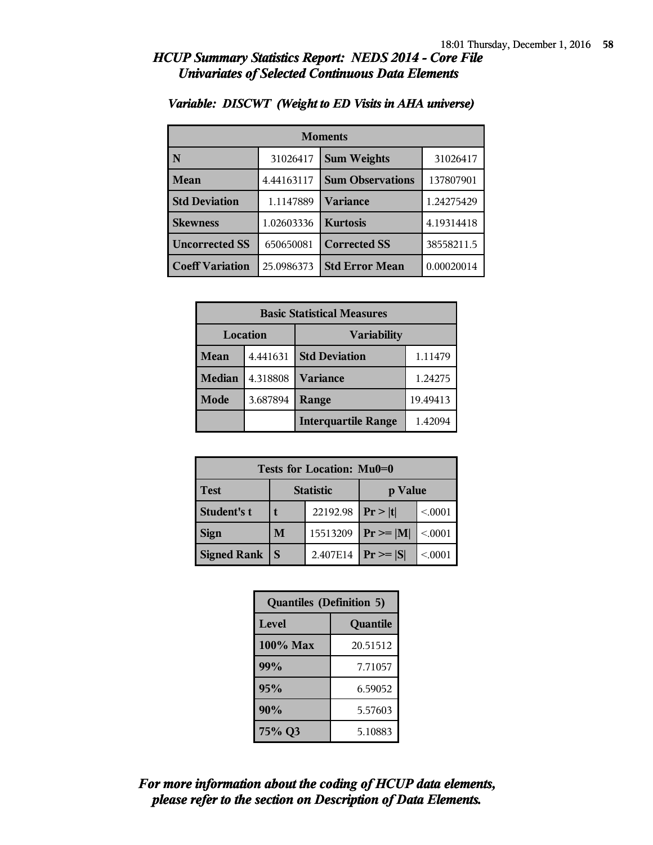| <b>Moments</b>         |            |                         |            |  |
|------------------------|------------|-------------------------|------------|--|
| N                      | 31026417   | <b>Sum Weights</b>      | 31026417   |  |
| <b>Mean</b>            | 4.44163117 | <b>Sum Observations</b> | 137807901  |  |
| <b>Std Deviation</b>   | 1.1147889  | Variance                | 1.24275429 |  |
| <b>Skewness</b>        | 1.02603336 | <b>Kurtosis</b>         | 4.19314418 |  |
| <b>Uncorrected SS</b>  | 650650081  | <b>Corrected SS</b>     | 38558211.5 |  |
| <b>Coeff Variation</b> | 25.0986373 | <b>Std Error Mean</b>   | 0.00020014 |  |

### *Variable: DISCWT (Weight to ED Visits in AHA universe)*

| <b>Basic Statistical Measures</b> |          |                            |         |  |
|-----------------------------------|----------|----------------------------|---------|--|
| Location<br><b>Variability</b>    |          |                            |         |  |
| <b>Mean</b>                       | 4.441631 | <b>Std Deviation</b>       | 1.11479 |  |
| <b>Median</b>                     | 4.318808 | <b>Variance</b>            | 1.24275 |  |
| Mode                              | 3.687894 | 19.49413<br>Range          |         |  |
|                                   |          | <b>Interquartile Range</b> | 1.42094 |  |

| <b>Tests for Location: Mu0=0</b> |                             |          |               |        |
|----------------------------------|-----------------------------|----------|---------------|--------|
| <b>Test</b>                      | <b>Statistic</b><br>p Value |          |               |        |
| Student's t                      | 22192.98                    |          | Pr >  t       | < 0001 |
| <b>Sign</b>                      | M                           | 15513209 | $Pr \geq  M $ | < 0001 |
| <b>Signed Rank</b>               | S                           | 2.407E14 | $Pr \geq  S $ | < 0001 |

| <b>Quantiles (Definition 5)</b> |  |  |
|---------------------------------|--|--|
| Level<br>Quantile               |  |  |
| $100\%$ Max<br>20.51512         |  |  |
| 99%<br>7.71057                  |  |  |
| 95%<br>6.59052                  |  |  |
| 90%<br>5.57603                  |  |  |
| 75% Q3<br>5.10883               |  |  |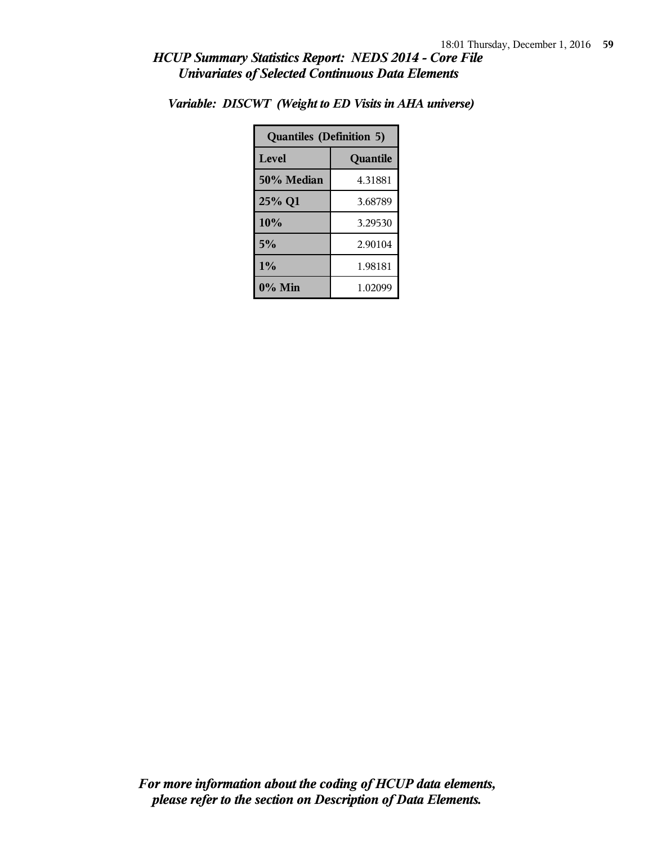| <b>Quantiles (Definition 5)</b> |          |  |
|---------------------------------|----------|--|
| Level                           | Quantile |  |
| 50% Median                      | 4.31881  |  |
| 25% Q1<br>3.68789               |          |  |
| 10%                             | 3.29530  |  |
| 5%<br>2.90104                   |          |  |
| $1\%$<br>1.98181                |          |  |
| $0\%$ Min<br>1.02099            |          |  |

*Variable: DISCWT (Weight to ED Visits in AHA universe)*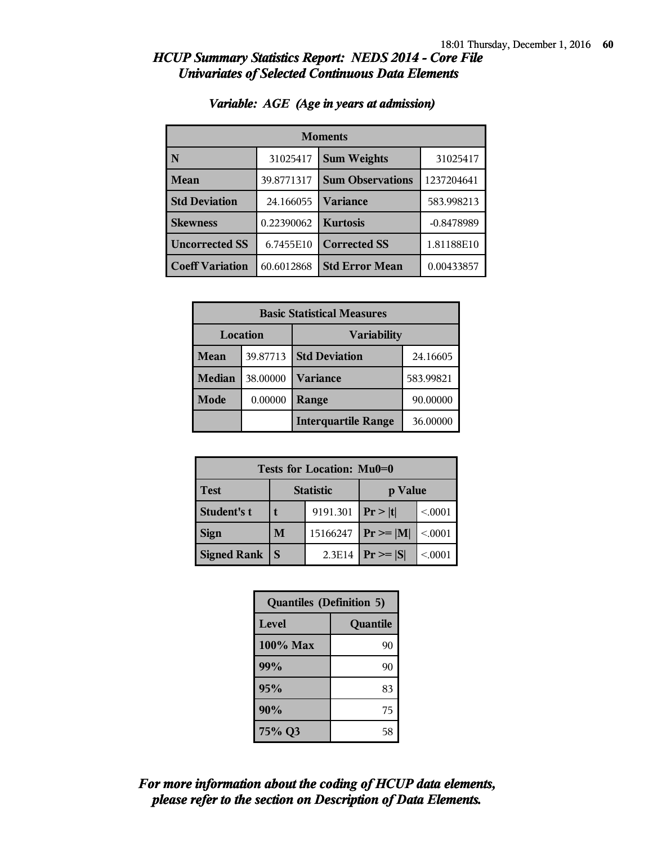| <b>Moments</b>         |            |                         |              |
|------------------------|------------|-------------------------|--------------|
| N                      | 31025417   | <b>Sum Weights</b>      | 31025417     |
| <b>Mean</b>            | 39.8771317 | <b>Sum Observations</b> | 1237204641   |
| <b>Std Deviation</b>   | 24.166055  | <b>Variance</b>         | 583.998213   |
| <b>Skewness</b>        | 0.22390062 | <b>Kurtosis</b>         | $-0.8478989$ |
| <b>Uncorrected SS</b>  | 6.7455E10  | <b>Corrected SS</b>     | 1.81188E10   |
| <b>Coeff Variation</b> | 60.6012868 | <b>Std Error Mean</b>   | 0.00433857   |

### *Variable: AGE (Age in years at admission)*

| <b>Basic Statistical Measures</b> |          |                            |           |
|-----------------------------------|----------|----------------------------|-----------|
| Location<br><b>Variability</b>    |          |                            |           |
| Mean                              | 39.87713 | <b>Std Deviation</b>       | 24.16605  |
| Median                            | 38.00000 | <b>Variance</b>            | 583.99821 |
| Mode                              | 0.00000  | Range                      | 90.00000  |
|                                   |          | <b>Interquartile Range</b> | 36.00000  |

| <b>Tests for Location: Mu0=0</b> |                             |          |                 |        |  |
|----------------------------------|-----------------------------|----------|-----------------|--------|--|
| <b>Test</b>                      | <b>Statistic</b><br>p Value |          |                 |        |  |
| Student's t                      | 9191.301                    |          | Pr> t           | < 0001 |  |
| <b>Sign</b>                      | M                           | 15166247 | $Pr \geq  M $   | < 0001 |  |
| <b>Signed Rank</b>               |                             | 2.3E14   | $ Pr \ge =  S $ | < 0001 |  |

| <b>Quantiles (Definition 5)</b> |    |  |
|---------------------------------|----|--|
| <b>Level</b><br>Quantile        |    |  |
| $100\%$ Max                     | 90 |  |
| 99%                             | 90 |  |
| 95%                             | 83 |  |
| 90%                             | 75 |  |
| 75% Q3                          | 58 |  |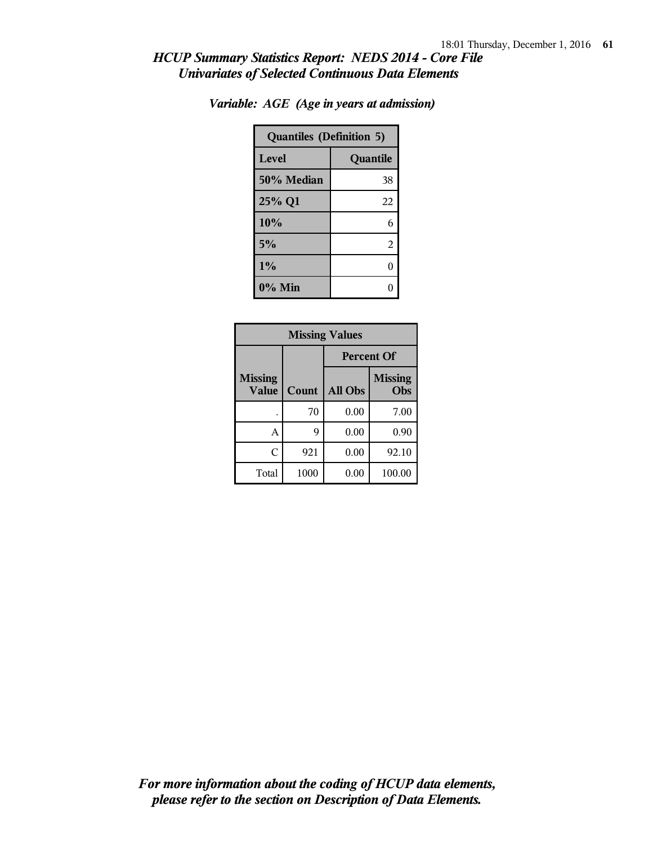| <b>Quantiles (Definition 5)</b> |          |  |
|---------------------------------|----------|--|
| Level                           | Quantile |  |
| 50% Median                      | 38       |  |
| 25% Q1                          | 22       |  |
| 10%                             | 6        |  |
| 5%                              | 2        |  |
| 1%                              | 0        |  |
| $0\%$ Min                       |          |  |

|  | Variable: AGE (Age in years at admission) |
|--|-------------------------------------------|

| <b>Missing Values</b>          |       |                   |                       |  |
|--------------------------------|-------|-------------------|-----------------------|--|
|                                |       | <b>Percent Of</b> |                       |  |
| <b>Missing</b><br><b>Value</b> | Count | All Obs           | <b>Missing</b><br>Obs |  |
|                                | 70    | 0.00              | 7.00                  |  |
| A                              | 9     | 0.00              | 0.90                  |  |
| C                              | 921   | 0.00              | 92.10                 |  |
| Total                          | 1000  | 0.00              | 100.00                |  |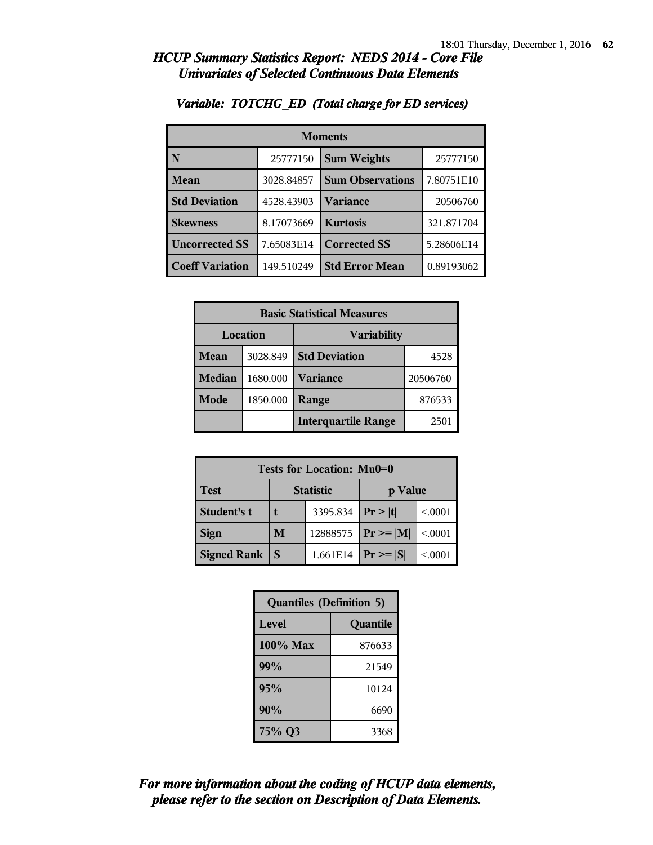| <b>Moments</b>         |            |                         |            |
|------------------------|------------|-------------------------|------------|
|                        | 25777150   | <b>Sum Weights</b>      | 25777150   |
| <b>Mean</b>            | 3028.84857 | <b>Sum Observations</b> | 7.80751E10 |
| <b>Std Deviation</b>   | 4528.43903 | <b>Variance</b>         | 20506760   |
| <b>Skewness</b>        | 8.17073669 | <b>Kurtosis</b>         | 321.871704 |
| <b>Uncorrected SS</b>  | 7.65083E14 | <b>Corrected SS</b>     | 5.28606E14 |
| <b>Coeff Variation</b> | 149.510249 | <b>Std Error Mean</b>   | 0.89193062 |

### *Variable: TOTCHG\_ED (Total charge for ED services)*

| <b>Basic Statistical Measures</b> |          |                            |          |  |
|-----------------------------------|----------|----------------------------|----------|--|
| Location                          |          | <b>Variability</b>         |          |  |
| <b>Mean</b>                       | 3028.849 | <b>Std Deviation</b>       | 4528     |  |
| <b>Median</b>                     | 1680.000 | <b>Variance</b>            | 20506760 |  |
| Mode                              | 1850.000 | Range                      | 876533   |  |
|                                   |          | <b>Interquartile Range</b> | 2501     |  |

| Tests for Location: Mu0=0 |                  |          |                 |        |
|---------------------------|------------------|----------|-----------------|--------|
| <b>Test</b>               | <b>Statistic</b> |          | p Value         |        |
| <b>Student's t</b>        |                  | 3395.834 | Pr >  t         | < 0001 |
| <b>Sign</b>               | M                | 12888575 | $ Pr \ge =  M $ | < 0001 |
| <b>Signed Rank</b>        |                  | 1.661E14 | $Pr \geq  S $   | < 0001 |

| <b>Quantiles (Definition 5)</b> |          |  |
|---------------------------------|----------|--|
| Level                           | Quantile |  |
| $100\%$ Max                     | 876633   |  |
| 99%                             | 21549    |  |
| 95%                             | 10124    |  |
| 90%                             | 6690     |  |
| 75% Q3                          | 3368     |  |